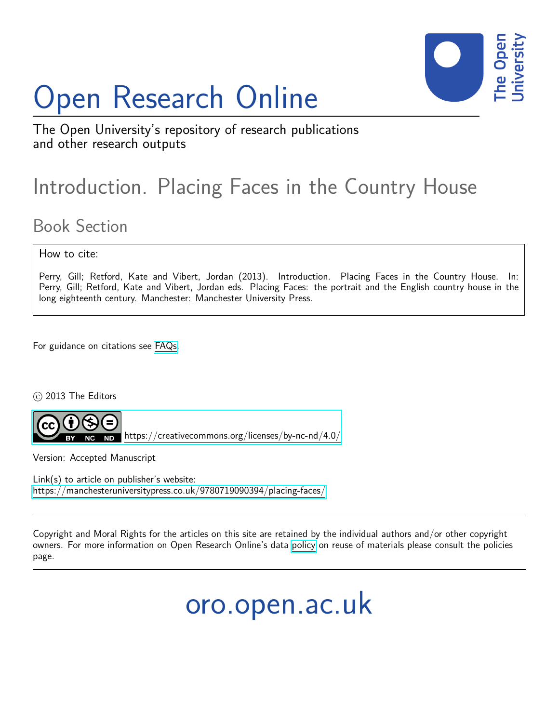# Open Research Online



The Open University's repository of research publications and other research outputs

## Introduction. Placing Faces in the Country House

### Book Section

#### How to cite:

Perry, Gill; Retford, Kate and Vibert, Jordan (2013). Introduction. Placing Faces in the Country House. In: Perry, Gill; Retford, Kate and Vibert, Jordan eds. Placing Faces: the portrait and the English country house in the long eighteenth century. Manchester: Manchester University Press.

For guidance on citations see [FAQs.](http://oro.open.ac.uk/help/helpfaq.html)

c 2013 The Editors



<https://creativecommons.org/licenses/by-nc-nd/4.0/>

Version: Accepted Manuscript

Link(s) to article on publisher's website: <https://manchesteruniversitypress.co.uk/9780719090394/placing-faces/>

Copyright and Moral Rights for the articles on this site are retained by the individual authors and/or other copyright owners. For more information on Open Research Online's data [policy](http://oro.open.ac.uk/policies.html) on reuse of materials please consult the policies page.

oro.open.ac.uk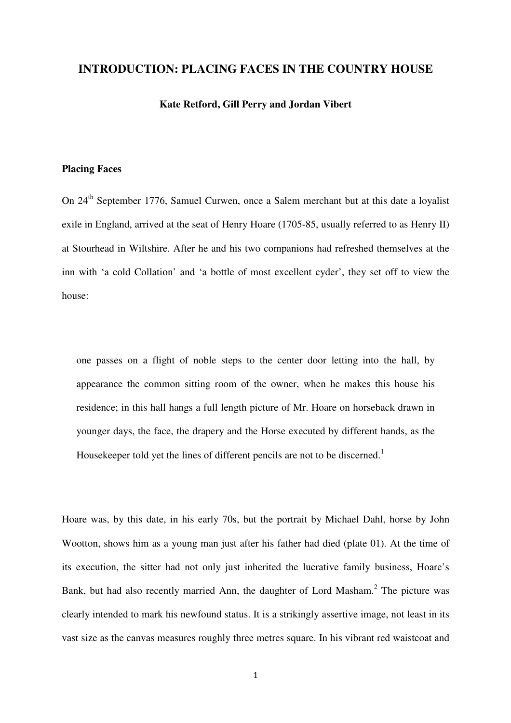#### **INTRODUCTION: PLACING FACES IN THE COUNTRY HOUSE**

#### **Kate Retford, Gill Perry and Jordan Vibert**

#### **Placing Faces**

On 24th September 1776, Samuel Curwen, once a Salem merchant but at this date a loyalist exile in England, arrived at the seat of Henry Hoare (1705-85, usually referred to as Henry II) at Stourhead in Wiltshire. After he and his two companions had refreshed themselves at the inn with 'a cold Collation' and 'a bottle of most excellent cyder', they set off to view the house:

one passes on a flight of noble steps to the center door letting into the hall, by appearance the common sitting room of the owner, when he makes this house his residence; in this hall hangs a full length picture of Mr. Hoare on horseback drawn in younger days, the face, the drapery and the Horse executed by different hands, as the Housekeeper told yet the lines of different pencils are not to be discerned.<sup>1</sup>

Hoare was, by this date, in his early 70s, but the portrait by Michael Dahl, horse by John Wootton, shows him as a young man just after his father had died (plate 01). At the time of its execution, the sitter had not only just inherited the lucrative family business, Hoare's Bank, but had also recently married Ann, the daughter of Lord Masham.<sup>2</sup> The picture was clearly intended to mark his newfound status. It is a strikingly assertive image, not least in its vast size as the canvas measures roughly three metres square. In his vibrant red waistcoat and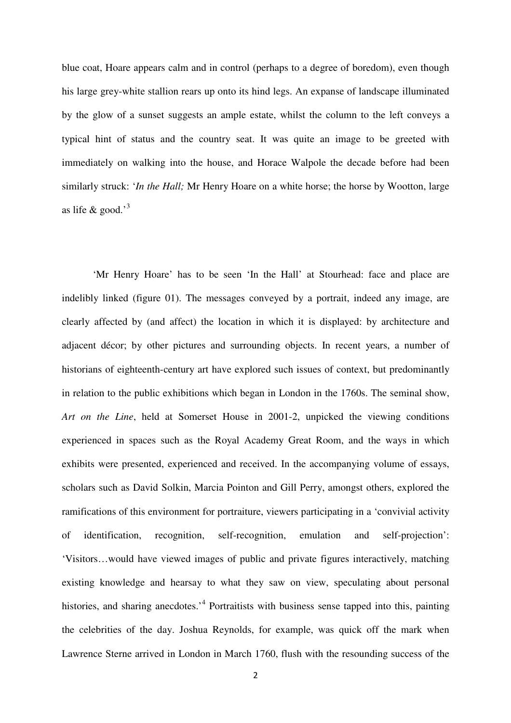blue coat, Hoare appears calm and in control (perhaps to a degree of boredom), even though his large grey-white stallion rears up onto its hind legs. An expanse of landscape illuminated by the glow of a sunset suggests an ample estate, whilst the column to the left conveys a typical hint of status and the country seat. It was quite an image to be greeted with immediately on walking into the house, and Horace Walpole the decade before had been similarly struck: '*In the Hall;* Mr Henry Hoare on a white horse; the horse by Wootton, large as life  $\&$  good.'<sup>3</sup>

 'Mr Henry Hoare' has to be seen 'In the Hall' at Stourhead: face and place are indelibly linked (figure 01). The messages conveyed by a portrait, indeed any image, are clearly affected by (and affect) the location in which it is displayed: by architecture and adjacent décor; by other pictures and surrounding objects. In recent years, a number of historians of eighteenth-century art have explored such issues of context, but predominantly in relation to the public exhibitions which began in London in the 1760s. The seminal show, *Art on the Line*, held at Somerset House in 2001-2, unpicked the viewing conditions experienced in spaces such as the Royal Academy Great Room, and the ways in which exhibits were presented, experienced and received. In the accompanying volume of essays, scholars such as David Solkin, Marcia Pointon and Gill Perry, amongst others, explored the ramifications of this environment for portraiture, viewers participating in a 'convivial activity of identification, recognition, self-recognition, emulation and self-projection': 'Visitors…would have viewed images of public and private figures interactively, matching existing knowledge and hearsay to what they saw on view, speculating about personal histories, and sharing anecdotes.<sup>4</sup> Portraitists with business sense tapped into this, painting the celebrities of the day. Joshua Reynolds, for example, was quick off the mark when Lawrence Sterne arrived in London in March 1760, flush with the resounding success of the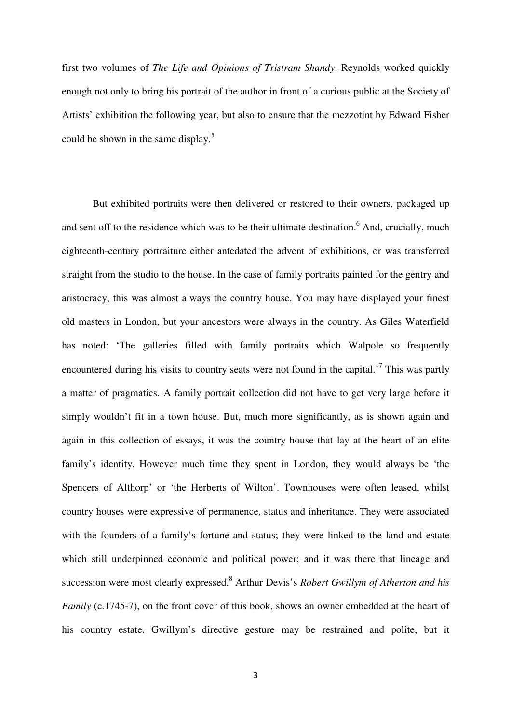first two volumes of *The Life and Opinions of Tristram Shandy*. Reynolds worked quickly enough not only to bring his portrait of the author in front of a curious public at the Society of Artists' exhibition the following year, but also to ensure that the mezzotint by Edward Fisher could be shown in the same display.<sup>5</sup>

 But exhibited portraits were then delivered or restored to their owners, packaged up and sent off to the residence which was to be their ultimate destination. <sup>6</sup> And, crucially, much eighteenth-century portraiture either antedated the advent of exhibitions, or was transferred straight from the studio to the house. In the case of family portraits painted for the gentry and aristocracy, this was almost always the country house. You may have displayed your finest old masters in London, but your ancestors were always in the country. As Giles Waterfield has noted: 'The galleries filled with family portraits which Walpole so frequently encountered during his visits to country seats were not found in the capital.<sup>7</sup> This was partly a matter of pragmatics. A family portrait collection did not have to get very large before it simply wouldn't fit in a town house. But, much more significantly, as is shown again and again in this collection of essays, it was the country house that lay at the heart of an elite family's identity. However much time they spent in London, they would always be 'the Spencers of Althorp' or 'the Herberts of Wilton'. Townhouses were often leased, whilst country houses were expressive of permanence, status and inheritance. They were associated with the founders of a family's fortune and status; they were linked to the land and estate which still underpinned economic and political power; and it was there that lineage and succession were most clearly expressed.<sup>8</sup> Arthur Devis's *Robert Gwillym of Atherton and his Family (c.1745-7), on the front cover of this book, shows an owner embedded at the heart of* his country estate. Gwillym's directive gesture may be restrained and polite, but it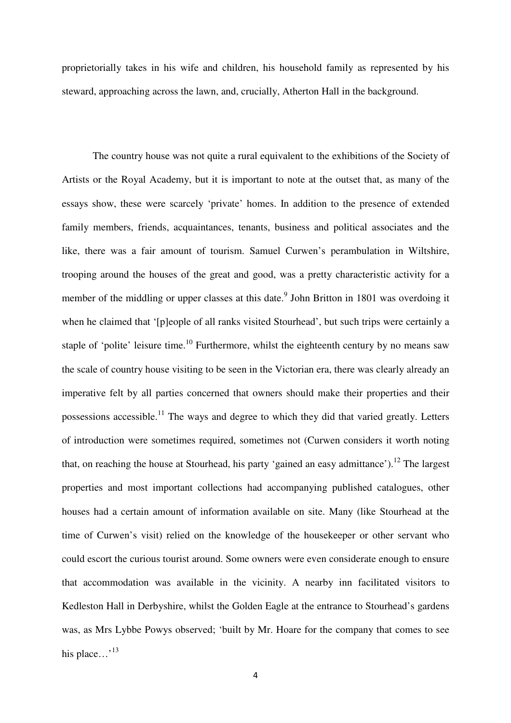proprietorially takes in his wife and children, his household family as represented by his steward, approaching across the lawn, and, crucially, Atherton Hall in the background.

 The country house was not quite a rural equivalent to the exhibitions of the Society of Artists or the Royal Academy, but it is important to note at the outset that, as many of the essays show, these were scarcely 'private' homes. In addition to the presence of extended family members, friends, acquaintances, tenants, business and political associates and the like, there was a fair amount of tourism. Samuel Curwen's perambulation in Wiltshire, trooping around the houses of the great and good, was a pretty characteristic activity for a member of the middling or upper classes at this date.<sup>9</sup> John Britton in 1801 was overdoing it when he claimed that '[p]eople of all ranks visited Stourhead', but such trips were certainly a staple of 'polite' leisure time.<sup>10</sup> Furthermore, whilst the eighteenth century by no means saw the scale of country house visiting to be seen in the Victorian era, there was clearly already an imperative felt by all parties concerned that owners should make their properties and their possessions accessible.<sup>11</sup> The ways and degree to which they did that varied greatly. Letters of introduction were sometimes required, sometimes not (Curwen considers it worth noting that, on reaching the house at Stourhead, his party 'gained an easy admittance').<sup>12</sup> The largest properties and most important collections had accompanying published catalogues, other houses had a certain amount of information available on site. Many (like Stourhead at the time of Curwen's visit) relied on the knowledge of the housekeeper or other servant who could escort the curious tourist around. Some owners were even considerate enough to ensure that accommodation was available in the vicinity. A nearby inn facilitated visitors to Kedleston Hall in Derbyshire, whilst the Golden Eagle at the entrance to Stourhead's gardens was, as Mrs Lybbe Powys observed; 'built by Mr. Hoare for the company that comes to see his place…<sup>13</sup>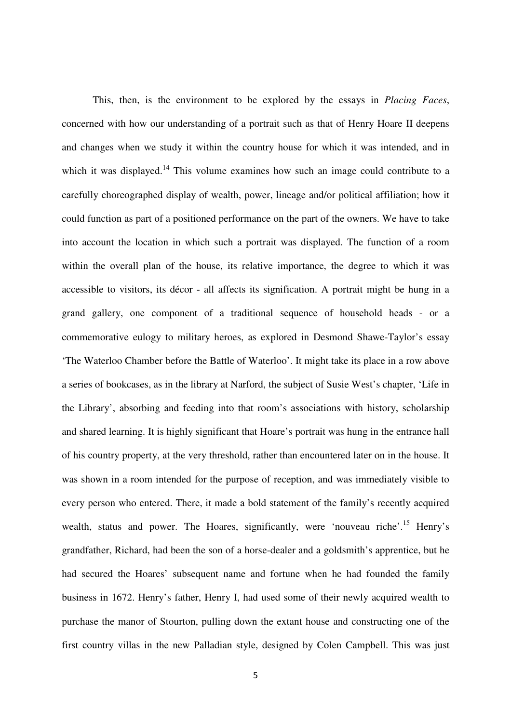This, then, is the environment to be explored by the essays in *Placing Faces*, concerned with how our understanding of a portrait such as that of Henry Hoare II deepens and changes when we study it within the country house for which it was intended, and in which it was displayed.<sup>14</sup> This volume examines how such an image could contribute to a carefully choreographed display of wealth, power, lineage and/or political affiliation; how it could function as part of a positioned performance on the part of the owners. We have to take into account the location in which such a portrait was displayed. The function of a room within the overall plan of the house, its relative importance, the degree to which it was accessible to visitors, its décor - all affects its signification. A portrait might be hung in a grand gallery, one component of a traditional sequence of household heads - or a commemorative eulogy to military heroes, as explored in Desmond Shawe-Taylor's essay 'The Waterloo Chamber before the Battle of Waterloo'. It might take its place in a row above a series of bookcases, as in the library at Narford, the subject of Susie West's chapter, 'Life in the Library', absorbing and feeding into that room's associations with history, scholarship and shared learning. It is highly significant that Hoare's portrait was hung in the entrance hall of his country property, at the very threshold, rather than encountered later on in the house. It was shown in a room intended for the purpose of reception, and was immediately visible to every person who entered. There, it made a bold statement of the family's recently acquired wealth, status and power. The Hoares, significantly, were 'nouveau riche'.<sup>15</sup> Henry's grandfather, Richard, had been the son of a horse-dealer and a goldsmith's apprentice, but he had secured the Hoares' subsequent name and fortune when he had founded the family business in 1672. Henry's father, Henry I, had used some of their newly acquired wealth to purchase the manor of Stourton, pulling down the extant house and constructing one of the first country villas in the new Palladian style, designed by Colen Campbell. This was just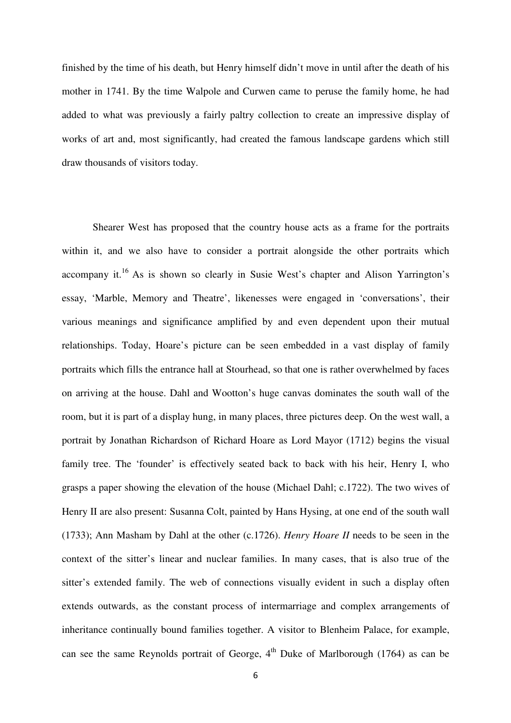finished by the time of his death, but Henry himself didn't move in until after the death of his mother in 1741. By the time Walpole and Curwen came to peruse the family home, he had added to what was previously a fairly paltry collection to create an impressive display of works of art and, most significantly, had created the famous landscape gardens which still draw thousands of visitors today.

 Shearer West has proposed that the country house acts as a frame for the portraits within it, and we also have to consider a portrait alongside the other portraits which accompany it.<sup>16</sup> As is shown so clearly in Susie West's chapter and Alison Yarrington's essay, 'Marble, Memory and Theatre', likenesses were engaged in 'conversations', their various meanings and significance amplified by and even dependent upon their mutual relationships. Today, Hoare's picture can be seen embedded in a vast display of family portraits which fills the entrance hall at Stourhead, so that one is rather overwhelmed by faces on arriving at the house. Dahl and Wootton's huge canvas dominates the south wall of the room, but it is part of a display hung, in many places, three pictures deep. On the west wall, a portrait by Jonathan Richardson of Richard Hoare as Lord Mayor (1712) begins the visual family tree. The 'founder' is effectively seated back to back with his heir, Henry I, who grasps a paper showing the elevation of the house (Michael Dahl; c.1722). The two wives of Henry II are also present: Susanna Colt, painted by Hans Hysing, at one end of the south wall (1733); Ann Masham by Dahl at the other (c.1726). *Henry Hoare II* needs to be seen in the context of the sitter's linear and nuclear families. In many cases, that is also true of the sitter's extended family. The web of connections visually evident in such a display often extends outwards, as the constant process of intermarriage and complex arrangements of inheritance continually bound families together. A visitor to Blenheim Palace, for example, can see the same Reynolds portrait of George,  $4<sup>th</sup>$  Duke of Marlborough (1764) as can be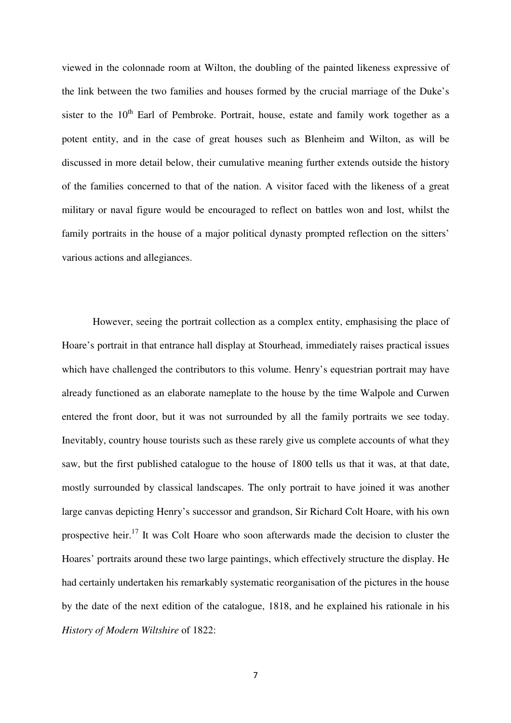viewed in the colonnade room at Wilton, the doubling of the painted likeness expressive of the link between the two families and houses formed by the crucial marriage of the Duke's sister to the  $10<sup>th</sup>$  Earl of Pembroke. Portrait, house, estate and family work together as a potent entity, and in the case of great houses such as Blenheim and Wilton, as will be discussed in more detail below, their cumulative meaning further extends outside the history of the families concerned to that of the nation. A visitor faced with the likeness of a great military or naval figure would be encouraged to reflect on battles won and lost, whilst the family portraits in the house of a major political dynasty prompted reflection on the sitters' various actions and allegiances.

 However, seeing the portrait collection as a complex entity, emphasising the place of Hoare's portrait in that entrance hall display at Stourhead, immediately raises practical issues which have challenged the contributors to this volume. Henry's equestrian portrait may have already functioned as an elaborate nameplate to the house by the time Walpole and Curwen entered the front door, but it was not surrounded by all the family portraits we see today. Inevitably, country house tourists such as these rarely give us complete accounts of what they saw, but the first published catalogue to the house of 1800 tells us that it was, at that date, mostly surrounded by classical landscapes. The only portrait to have joined it was another large canvas depicting Henry's successor and grandson, Sir Richard Colt Hoare, with his own prospective heir.<sup>17</sup> It was Colt Hoare who soon afterwards made the decision to cluster the Hoares' portraits around these two large paintings, which effectively structure the display. He had certainly undertaken his remarkably systematic reorganisation of the pictures in the house by the date of the next edition of the catalogue, 1818, and he explained his rationale in his *History of Modern Wiltshire* of 1822: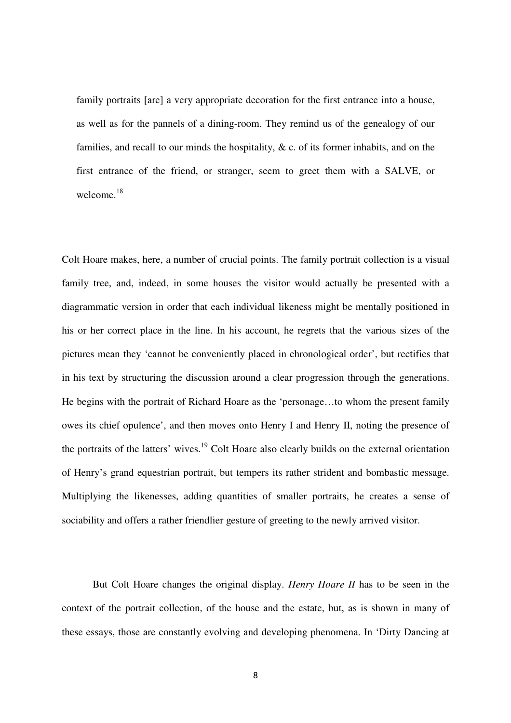family portraits [are] a very appropriate decoration for the first entrance into a house, as well as for the pannels of a dining-room. They remind us of the genealogy of our families, and recall to our minds the hospitality, & c. of its former inhabits, and on the first entrance of the friend, or stranger, seem to greet them with a SALVE, or welcome.<sup>18</sup>

Colt Hoare makes, here, a number of crucial points. The family portrait collection is a visual family tree, and, indeed, in some houses the visitor would actually be presented with a diagrammatic version in order that each individual likeness might be mentally positioned in his or her correct place in the line. In his account, he regrets that the various sizes of the pictures mean they 'cannot be conveniently placed in chronological order', but rectifies that in his text by structuring the discussion around a clear progression through the generations. He begins with the portrait of Richard Hoare as the 'personage…to whom the present family owes its chief opulence', and then moves onto Henry I and Henry II, noting the presence of the portraits of the latters' wives.<sup>19</sup> Colt Hoare also clearly builds on the external orientation of Henry's grand equestrian portrait, but tempers its rather strident and bombastic message. Multiplying the likenesses, adding quantities of smaller portraits, he creates a sense of sociability and offers a rather friendlier gesture of greeting to the newly arrived visitor.

 But Colt Hoare changes the original display. *Henry Hoare II* has to be seen in the context of the portrait collection, of the house and the estate, but, as is shown in many of these essays, those are constantly evolving and developing phenomena. In 'Dirty Dancing at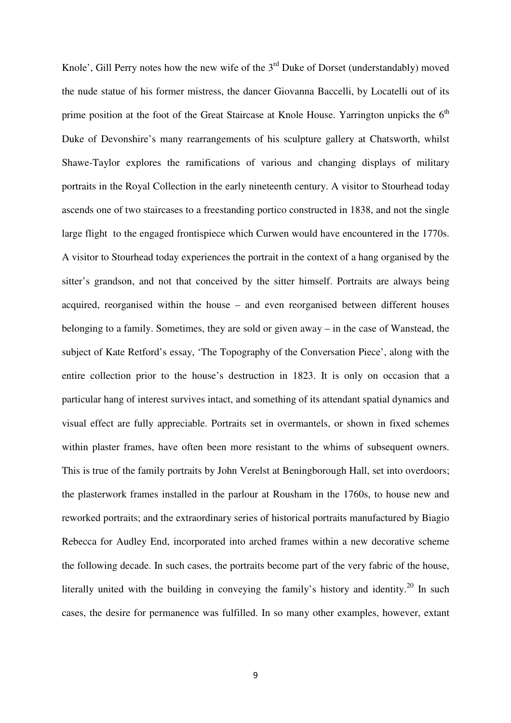Knole', Gill Perry notes how the new wife of the  $3<sup>rd</sup>$  Duke of Dorset (understandably) moved the nude statue of his former mistress, the dancer Giovanna Baccelli, by Locatelli out of its prime position at the foot of the Great Staircase at Knole House. Yarrington unpicks the  $6<sup>th</sup>$ Duke of Devonshire's many rearrangements of his sculpture gallery at Chatsworth, whilst Shawe-Taylor explores the ramifications of various and changing displays of military portraits in the Royal Collection in the early nineteenth century. A visitor to Stourhead today ascends one of two staircases to a freestanding portico constructed in 1838, and not the single large flight to the engaged frontispiece which Curwen would have encountered in the 1770s. A visitor to Stourhead today experiences the portrait in the context of a hang organised by the sitter's grandson, and not that conceived by the sitter himself. Portraits are always being acquired, reorganised within the house – and even reorganised between different houses belonging to a family. Sometimes, they are sold or given away – in the case of Wanstead, the subject of Kate Retford's essay, 'The Topography of the Conversation Piece', along with the entire collection prior to the house's destruction in 1823. It is only on occasion that a particular hang of interest survives intact, and something of its attendant spatial dynamics and visual effect are fully appreciable. Portraits set in overmantels, or shown in fixed schemes within plaster frames, have often been more resistant to the whims of subsequent owners. This is true of the family portraits by John Verelst at Beningborough Hall, set into overdoors; the plasterwork frames installed in the parlour at Rousham in the 1760s, to house new and reworked portraits; and the extraordinary series of historical portraits manufactured by Biagio Rebecca for Audley End, incorporated into arched frames within a new decorative scheme the following decade. In such cases, the portraits become part of the very fabric of the house, literally united with the building in conveying the family's history and identity.<sup>20</sup> In such cases, the desire for permanence was fulfilled. In so many other examples, however, extant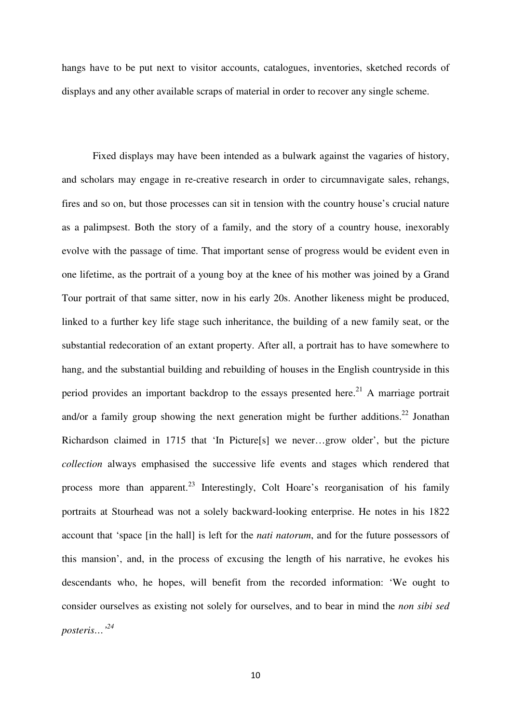hangs have to be put next to visitor accounts, catalogues, inventories, sketched records of displays and any other available scraps of material in order to recover any single scheme.

 Fixed displays may have been intended as a bulwark against the vagaries of history, and scholars may engage in re-creative research in order to circumnavigate sales, rehangs, fires and so on, but those processes can sit in tension with the country house's crucial nature as a palimpsest. Both the story of a family, and the story of a country house, inexorably evolve with the passage of time. That important sense of progress would be evident even in one lifetime, as the portrait of a young boy at the knee of his mother was joined by a Grand Tour portrait of that same sitter, now in his early 20s. Another likeness might be produced, linked to a further key life stage such inheritance, the building of a new family seat, or the substantial redecoration of an extant property. After all, a portrait has to have somewhere to hang, and the substantial building and rebuilding of houses in the English countryside in this period provides an important backdrop to the essays presented here.<sup>21</sup> A marriage portrait and/or a family group showing the next generation might be further additions.<sup>22</sup> Jonathan Richardson claimed in 1715 that 'In Picture[s] we never…grow older', but the picture *collection* always emphasised the successive life events and stages which rendered that process more than apparent.<sup>23</sup> Interestingly, Colt Hoare's reorganisation of his family portraits at Stourhead was not a solely backward-looking enterprise. He notes in his 1822 account that 'space [in the hall] is left for the *nati natorum*, and for the future possessors of this mansion', and, in the process of excusing the length of his narrative, he evokes his descendants who, he hopes, will benefit from the recorded information: 'We ought to consider ourselves as existing not solely for ourselves, and to bear in mind the *non sibi sed posteris…'<sup>24</sup>*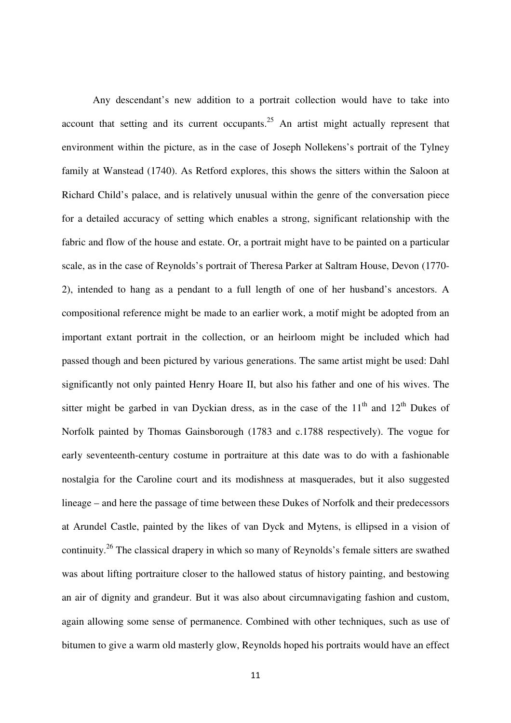Any descendant's new addition to a portrait collection would have to take into account that setting and its current occupants.<sup>25</sup> An artist might actually represent that environment within the picture, as in the case of Joseph Nollekens's portrait of the Tylney family at Wanstead (1740). As Retford explores, this shows the sitters within the Saloon at Richard Child's palace, and is relatively unusual within the genre of the conversation piece for a detailed accuracy of setting which enables a strong, significant relationship with the fabric and flow of the house and estate. Or, a portrait might have to be painted on a particular scale, as in the case of Reynolds's portrait of Theresa Parker at Saltram House, Devon (1770- 2), intended to hang as a pendant to a full length of one of her husband's ancestors. A compositional reference might be made to an earlier work, a motif might be adopted from an important extant portrait in the collection, or an heirloom might be included which had passed though and been pictured by various generations. The same artist might be used: Dahl significantly not only painted Henry Hoare II, but also his father and one of his wives. The sitter might be garbed in van Dyckian dress, as in the case of the  $11<sup>th</sup>$  and  $12<sup>th</sup>$  Dukes of Norfolk painted by Thomas Gainsborough (1783 and c.1788 respectively). The vogue for early seventeenth-century costume in portraiture at this date was to do with a fashionable nostalgia for the Caroline court and its modishness at masquerades, but it also suggested lineage – and here the passage of time between these Dukes of Norfolk and their predecessors at Arundel Castle, painted by the likes of van Dyck and Mytens, is ellipsed in a vision of continuity.<sup>26</sup> The classical drapery in which so many of Reynolds's female sitters are swathed was about lifting portraiture closer to the hallowed status of history painting, and bestowing an air of dignity and grandeur. But it was also about circumnavigating fashion and custom, again allowing some sense of permanence. Combined with other techniques, such as use of bitumen to give a warm old masterly glow, Reynolds hoped his portraits would have an effect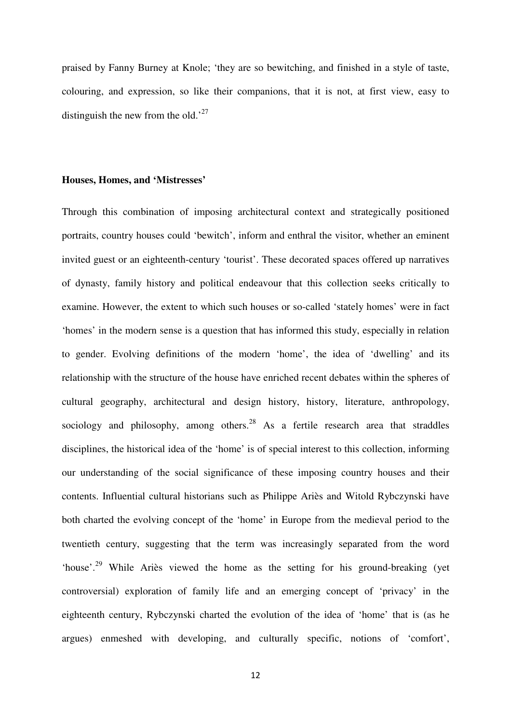praised by Fanny Burney at Knole; 'they are so bewitching, and finished in a style of taste, colouring, and expression, so like their companions, that it is not, at first view, easy to distinguish the new from the old.<sup>27</sup>

#### **Houses, Homes, and 'Mistresses'**

Through this combination of imposing architectural context and strategically positioned portraits, country houses could 'bewitch', inform and enthral the visitor, whether an eminent invited guest or an eighteenth-century 'tourist'. These decorated spaces offered up narratives of dynasty, family history and political endeavour that this collection seeks critically to examine. However, the extent to which such houses or so-called 'stately homes' were in fact 'homes' in the modern sense is a question that has informed this study, especially in relation to gender. Evolving definitions of the modern 'home', the idea of 'dwelling' and its relationship with the structure of the house have enriched recent debates within the spheres of cultural geography, architectural and design history, history, literature, anthropology, sociology and philosophy, among others.<sup>28</sup> As a fertile research area that straddles disciplines, the historical idea of the 'home' is of special interest to this collection, informing our understanding of the social significance of these imposing country houses and their contents. Influential cultural historians such as Philippe Ariès and Witold Rybczynski have both charted the evolving concept of the 'home' in Europe from the medieval period to the twentieth century, suggesting that the term was increasingly separated from the word 'house'.<sup>29</sup> While Ariès viewed the home as the setting for his ground-breaking (yet controversial) exploration of family life and an emerging concept of 'privacy' in the eighteenth century, Rybczynski charted the evolution of the idea of 'home' that is (as he argues) enmeshed with developing, and culturally specific, notions of 'comfort',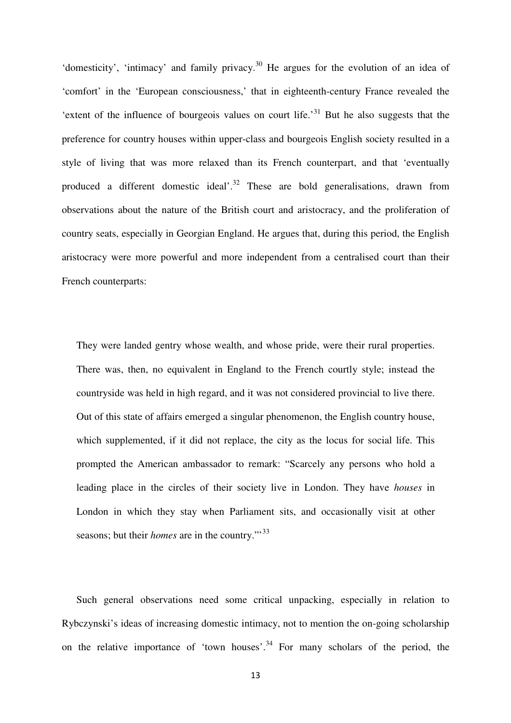'domesticity', 'intimacy' and family privacy.<sup>30</sup> He argues for the evolution of an idea of 'comfort' in the 'European consciousness,' that in eighteenth-century France revealed the 'extent of the influence of bourgeois values on court life.<sup>31</sup> But he also suggests that the preference for country houses within upper-class and bourgeois English society resulted in a style of living that was more relaxed than its French counterpart, and that 'eventually produced a different domestic ideal'.<sup>32</sup> These are bold generalisations, drawn from observations about the nature of the British court and aristocracy, and the proliferation of country seats, especially in Georgian England. He argues that, during this period, the English aristocracy were more powerful and more independent from a centralised court than their French counterparts:

They were landed gentry whose wealth, and whose pride, were their rural properties. There was, then, no equivalent in England to the French courtly style; instead the countryside was held in high regard, and it was not considered provincial to live there. Out of this state of affairs emerged a singular phenomenon, the English country house, which supplemented, if it did not replace, the city as the locus for social life. This prompted the American ambassador to remark: "Scarcely any persons who hold a leading place in the circles of their society live in London. They have *houses* in London in which they stay when Parliament sits, and occasionally visit at other seasons; but their *homes* are in the country."<sup>33</sup>

Such general observations need some critical unpacking, especially in relation to Rybczynski's ideas of increasing domestic intimacy, not to mention the on-going scholarship on the relative importance of 'town houses'.<sup>34</sup> For many scholars of the period, the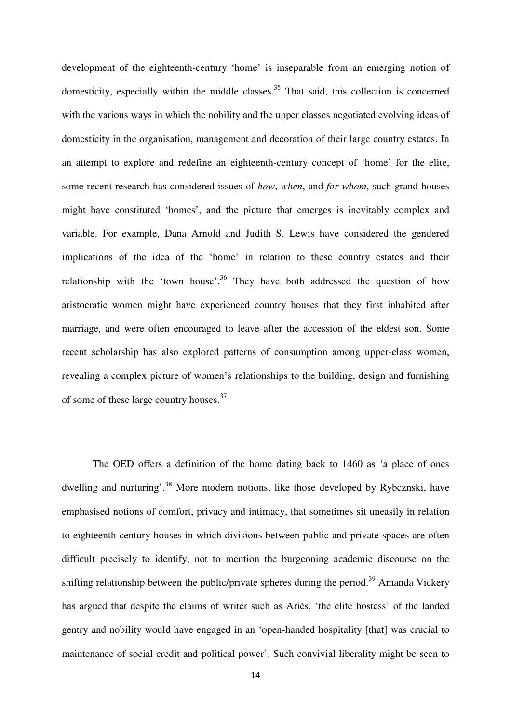development of the eighteenth-century 'home' is inseparable from an emerging notion of domesticity, especially within the middle classes.<sup>35</sup> That said, this collection is concerned with the various ways in which the nobility and the upper classes negotiated evolving ideas of domesticity in the organisation, management and decoration of their large country estates. In an attempt to explore and redefine an eighteenth-century concept of 'home' for the elite, some recent research has considered issues of *how*, *when*, and *for whom*, such grand houses might have constituted 'homes', and the picture that emerges is inevitably complex and variable. For example, Dana Arnold and Judith S. Lewis have considered the gendered implications of the idea of the 'home' in relation to these country estates and their relationship with the 'town house'.<sup>36</sup> They have both addressed the question of how aristocratic women might have experienced country houses that they first inhabited after marriage, and were often encouraged to leave after the accession of the eldest son. Some recent scholarship has also explored patterns of consumption among upper-class women, revealing a complex picture of women's relationships to the building, design and furnishing of some of these large country houses.<sup>37</sup>

The OED offers a definition of the home dating back to 1460 as 'a place of ones dwelling and nurturing'.<sup>38</sup> More modern notions, like those developed by Rybcznski, have emphasised notions of comfort, privacy and intimacy, that sometimes sit uneasily in relation to eighteenth-century houses in which divisions between public and private spaces are often difficult precisely to identify, not to mention the burgeoning academic discourse on the shifting relationship between the public/private spheres during the period.<sup>39</sup> Amanda Vickery has argued that despite the claims of writer such as Ariès, 'the elite hostess' of the landed gentry and nobility would have engaged in an 'open-handed hospitality [that] was crucial to maintenance of social credit and political power'. Such convivial liberality might be seen to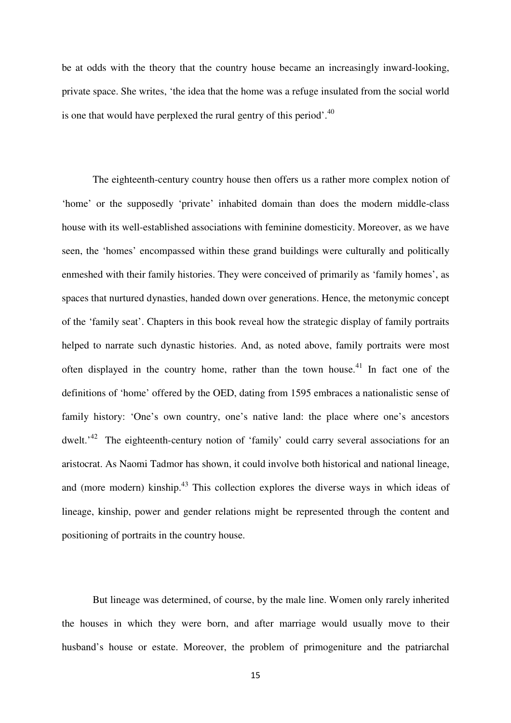be at odds with the theory that the country house became an increasingly inward-looking, private space. She writes, 'the idea that the home was a refuge insulated from the social world is one that would have perplexed the rural gentry of this period'.<sup>40</sup>

The eighteenth-century country house then offers us a rather more complex notion of 'home' or the supposedly 'private' inhabited domain than does the modern middle-class house with its well-established associations with feminine domesticity. Moreover, as we have seen, the 'homes' encompassed within these grand buildings were culturally and politically enmeshed with their family histories. They were conceived of primarily as 'family homes', as spaces that nurtured dynasties, handed down over generations. Hence, the metonymic concept of the 'family seat'. Chapters in this book reveal how the strategic display of family portraits helped to narrate such dynastic histories. And, as noted above, family portraits were most often displayed in the country home, rather than the town house.<sup>41</sup> In fact one of the definitions of 'home' offered by the OED, dating from 1595 embraces a nationalistic sense of family history: 'One's own country, one's native land: the place where one's ancestors dwelt.<sup>42</sup> The eighteenth-century notion of 'family' could carry several associations for an aristocrat. As Naomi Tadmor has shown, it could involve both historical and national lineage, and (more modern) kinship.<sup>43</sup> This collection explores the diverse ways in which ideas of lineage, kinship, power and gender relations might be represented through the content and positioning of portraits in the country house.

But lineage was determined, of course, by the male line. Women only rarely inherited the houses in which they were born, and after marriage would usually move to their husband's house or estate. Moreover, the problem of primogeniture and the patriarchal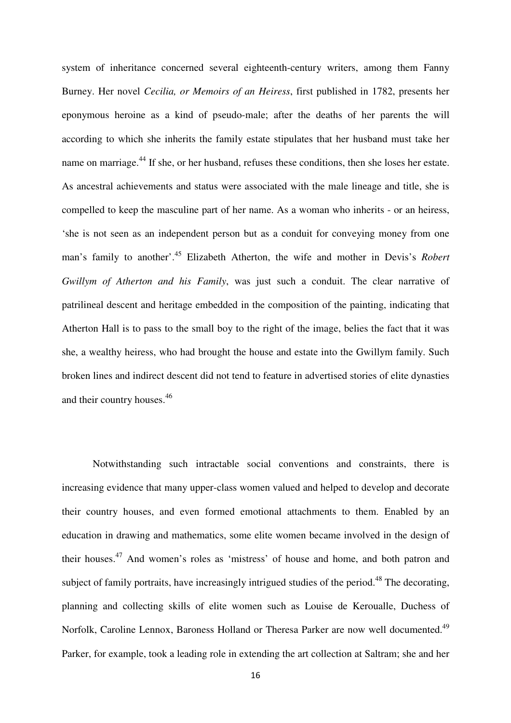system of inheritance concerned several eighteenth-century writers, among them Fanny Burney. Her novel *Cecilia, or Memoirs of an Heiress*, first published in 1782, presents her eponymous heroine as a kind of pseudo-male; after the deaths of her parents the will according to which she inherits the family estate stipulates that her husband must take her name on marriage.<sup>44</sup> If she, or her husband, refuses these conditions, then she loses her estate. As ancestral achievements and status were associated with the male lineage and title, she is compelled to keep the masculine part of her name. As a woman who inherits - or an heiress, 'she is not seen as an independent person but as a conduit for conveying money from one man's family to another'.<sup>45</sup> Elizabeth Atherton, the wife and mother in Devis's *Robert Gwillym of Atherton and his Family*, was just such a conduit. The clear narrative of patrilineal descent and heritage embedded in the composition of the painting, indicating that Atherton Hall is to pass to the small boy to the right of the image, belies the fact that it was she, a wealthy heiress, who had brought the house and estate into the Gwillym family. Such broken lines and indirect descent did not tend to feature in advertised stories of elite dynasties and their country houses.<sup>46</sup>

Notwithstanding such intractable social conventions and constraints, there is increasing evidence that many upper-class women valued and helped to develop and decorate their country houses, and even formed emotional attachments to them. Enabled by an education in drawing and mathematics, some elite women became involved in the design of their houses.<sup>47</sup> And women's roles as 'mistress' of house and home, and both patron and subject of family portraits, have increasingly intrigued studies of the period.<sup>48</sup> The decorating, planning and collecting skills of elite women such as Louise de Keroualle, Duchess of Norfolk, Caroline Lennox, Baroness Holland or Theresa Parker are now well documented.<sup>49</sup> Parker, for example, took a leading role in extending the art collection at Saltram; she and her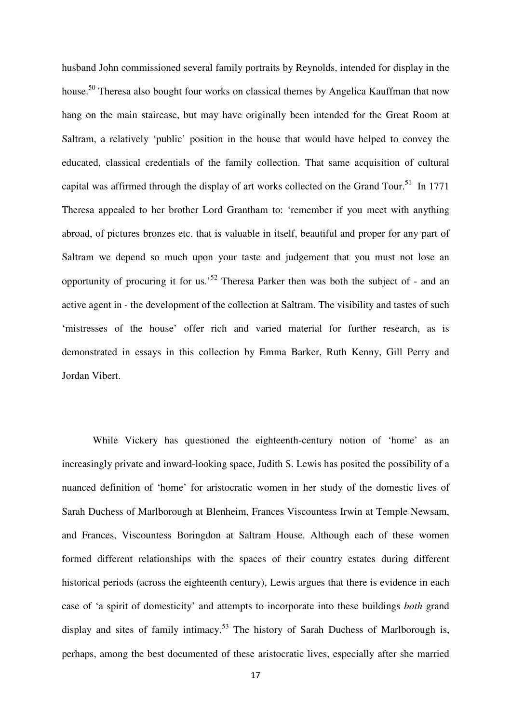husband John commissioned several family portraits by Reynolds, intended for display in the house.<sup>50</sup> Theresa also bought four works on classical themes by Angelica Kauffman that now hang on the main staircase, but may have originally been intended for the Great Room at Saltram, a relatively 'public' position in the house that would have helped to convey the educated, classical credentials of the family collection. That same acquisition of cultural capital was affirmed through the display of art works collected on the Grand Tour.<sup>51</sup> In 1771 Theresa appealed to her brother Lord Grantham to: 'remember if you meet with anything abroad, of pictures bronzes etc. that is valuable in itself, beautiful and proper for any part of Saltram we depend so much upon your taste and judgement that you must not lose an opportunity of procuring it for us.'<sup>52</sup> Theresa Parker then was both the subject of - and an active agent in - the development of the collection at Saltram. The visibility and tastes of such 'mistresses of the house' offer rich and varied material for further research, as is demonstrated in essays in this collection by Emma Barker, Ruth Kenny, Gill Perry and Jordan Vibert.

While Vickery has questioned the eighteenth-century notion of 'home' as an increasingly private and inward-looking space, Judith S. Lewis has posited the possibility of a nuanced definition of 'home' for aristocratic women in her study of the domestic lives of Sarah Duchess of Marlborough at Blenheim, Frances Viscountess Irwin at Temple Newsam, and Frances, Viscountess Boringdon at Saltram House. Although each of these women formed different relationships with the spaces of their country estates during different historical periods (across the eighteenth century), Lewis argues that there is evidence in each case of 'a spirit of domesticity' and attempts to incorporate into these buildings *both* grand display and sites of family intimacy.<sup>53</sup> The history of Sarah Duchess of Marlborough is, perhaps, among the best documented of these aristocratic lives, especially after she married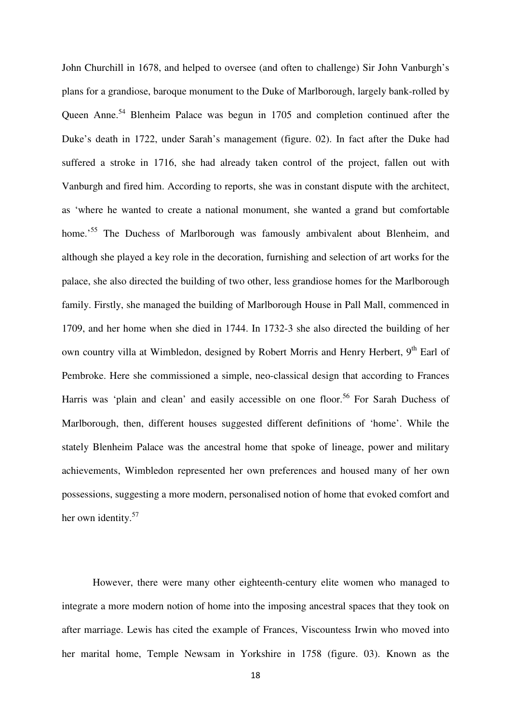John Churchill in 1678, and helped to oversee (and often to challenge) Sir John Vanburgh's plans for a grandiose, baroque monument to the Duke of Marlborough, largely bank-rolled by Queen Anne.<sup>54</sup> Blenheim Palace was begun in 1705 and completion continued after the Duke's death in 1722, under Sarah's management (figure. 02). In fact after the Duke had suffered a stroke in 1716, she had already taken control of the project, fallen out with Vanburgh and fired him. According to reports, she was in constant dispute with the architect, as 'where he wanted to create a national monument, she wanted a grand but comfortable home.<sup>55</sup> The Duchess of Marlborough was famously ambivalent about Blenheim, and although she played a key role in the decoration, furnishing and selection of art works for the palace, she also directed the building of two other, less grandiose homes for the Marlborough family. Firstly, she managed the building of Marlborough House in Pall Mall, commenced in 1709, and her home when she died in 1744. In 1732-3 she also directed the building of her own country villa at Wimbledon, designed by Robert Morris and Henry Herbert, 9<sup>th</sup> Earl of Pembroke. Here she commissioned a simple, neo-classical design that according to Frances Harris was 'plain and clean' and easily accessible on one floor.<sup>56</sup> For Sarah Duchess of Marlborough, then, different houses suggested different definitions of 'home'. While the stately Blenheim Palace was the ancestral home that spoke of lineage, power and military achievements, Wimbledon represented her own preferences and housed many of her own possessions, suggesting a more modern, personalised notion of home that evoked comfort and her own identity.<sup>57</sup>

However, there were many other eighteenth-century elite women who managed to integrate a more modern notion of home into the imposing ancestral spaces that they took on after marriage. Lewis has cited the example of Frances, Viscountess Irwin who moved into her marital home, Temple Newsam in Yorkshire in 1758 (figure. 03). Known as the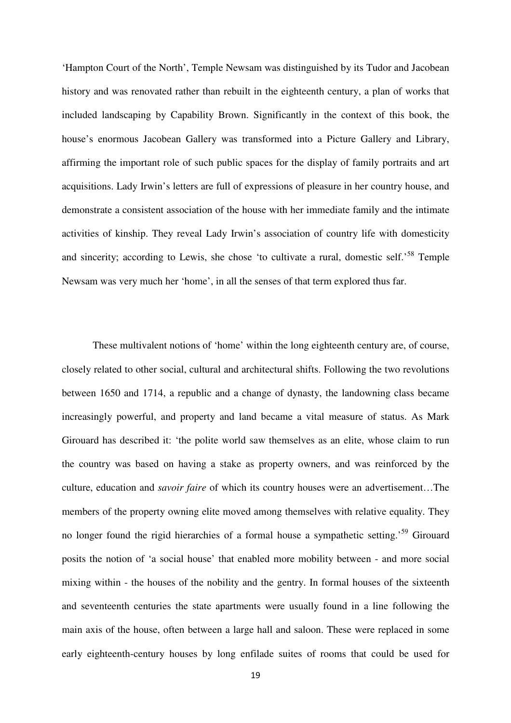'Hampton Court of the North', Temple Newsam was distinguished by its Tudor and Jacobean history and was renovated rather than rebuilt in the eighteenth century, a plan of works that included landscaping by Capability Brown. Significantly in the context of this book, the house's enormous Jacobean Gallery was transformed into a Picture Gallery and Library, affirming the important role of such public spaces for the display of family portraits and art acquisitions. Lady Irwin's letters are full of expressions of pleasure in her country house, and demonstrate a consistent association of the house with her immediate family and the intimate activities of kinship. They reveal Lady Irwin's association of country life with domesticity and sincerity; according to Lewis, she chose 'to cultivate a rural, domestic self.<sup>58</sup> Temple Newsam was very much her 'home', in all the senses of that term explored thus far.

These multivalent notions of 'home' within the long eighteenth century are, of course, closely related to other social, cultural and architectural shifts. Following the two revolutions between 1650 and 1714, a republic and a change of dynasty, the landowning class became increasingly powerful, and property and land became a vital measure of status. As Mark Girouard has described it: 'the polite world saw themselves as an elite, whose claim to run the country was based on having a stake as property owners, and was reinforced by the culture, education and *savoir faire* of which its country houses were an advertisement…The members of the property owning elite moved among themselves with relative equality. They no longer found the rigid hierarchies of a formal house a sympathetic setting.<sup>59</sup> Girouard posits the notion of 'a social house' that enabled more mobility between - and more social mixing within - the houses of the nobility and the gentry. In formal houses of the sixteenth and seventeenth centuries the state apartments were usually found in a line following the main axis of the house, often between a large hall and saloon. These were replaced in some early eighteenth-century houses by long enfilade suites of rooms that could be used for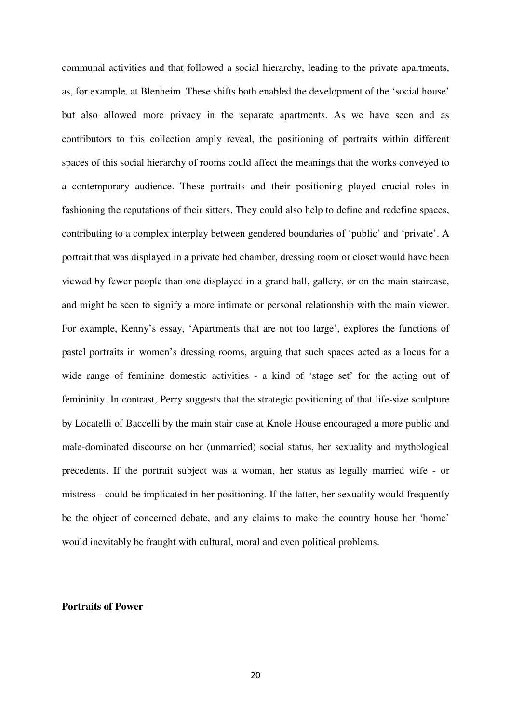communal activities and that followed a social hierarchy, leading to the private apartments, as, for example, at Blenheim. These shifts both enabled the development of the 'social house' but also allowed more privacy in the separate apartments. As we have seen and as contributors to this collection amply reveal, the positioning of portraits within different spaces of this social hierarchy of rooms could affect the meanings that the works conveyed to a contemporary audience. These portraits and their positioning played crucial roles in fashioning the reputations of their sitters. They could also help to define and redefine spaces, contributing to a complex interplay between gendered boundaries of 'public' and 'private'. A portrait that was displayed in a private bed chamber, dressing room or closet would have been viewed by fewer people than one displayed in a grand hall, gallery, or on the main staircase, and might be seen to signify a more intimate or personal relationship with the main viewer. For example, Kenny's essay, 'Apartments that are not too large', explores the functions of pastel portraits in women's dressing rooms, arguing that such spaces acted as a locus for a wide range of feminine domestic activities - a kind of 'stage set' for the acting out of femininity. In contrast, Perry suggests that the strategic positioning of that life-size sculpture by Locatelli of Baccelli by the main stair case at Knole House encouraged a more public and male-dominated discourse on her (unmarried) social status, her sexuality and mythological precedents. If the portrait subject was a woman, her status as legally married wife - or mistress - could be implicated in her positioning. If the latter, her sexuality would frequently be the object of concerned debate, and any claims to make the country house her 'home' would inevitably be fraught with cultural, moral and even political problems.

#### **Portraits of Power**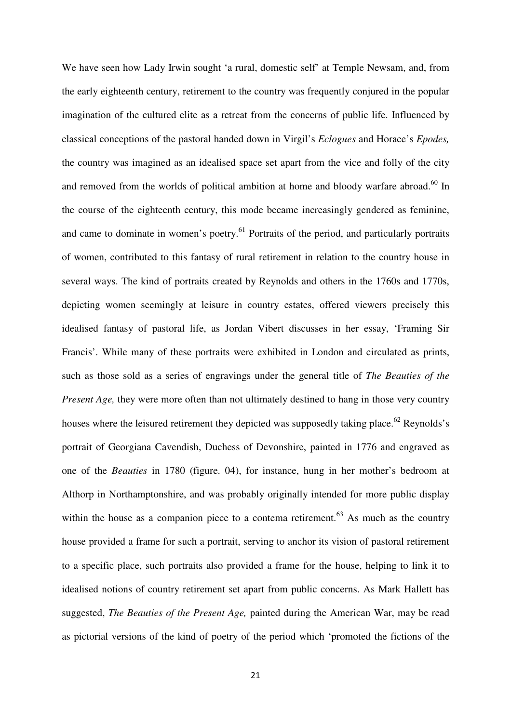We have seen how Lady Irwin sought 'a rural, domestic self' at Temple Newsam, and, from the early eighteenth century, retirement to the country was frequently conjured in the popular imagination of the cultured elite as a retreat from the concerns of public life. Influenced by classical conceptions of the pastoral handed down in Virgil's *Eclogues* and Horace's *Epodes,* the country was imagined as an idealised space set apart from the vice and folly of the city and removed from the worlds of political ambition at home and bloody warfare abroad.<sup>60</sup> In the course of the eighteenth century, this mode became increasingly gendered as feminine, and came to dominate in women's poetry.<sup>61</sup> Portraits of the period, and particularly portraits of women, contributed to this fantasy of rural retirement in relation to the country house in several ways. The kind of portraits created by Reynolds and others in the 1760s and 1770s, depicting women seemingly at leisure in country estates, offered viewers precisely this idealised fantasy of pastoral life, as Jordan Vibert discusses in her essay, 'Framing Sir Francis'. While many of these portraits were exhibited in London and circulated as prints, such as those sold as a series of engravings under the general title of *The Beauties of the Present Age,* they were more often than not ultimately destined to hang in those very country houses where the leisured retirement they depicted was supposedly taking place.<sup>62</sup> Reynolds's portrait of Georgiana Cavendish, Duchess of Devonshire, painted in 1776 and engraved as one of the *Beauties* in 1780 (figure. 04), for instance, hung in her mother's bedroom at Althorp in Northamptonshire, and was probably originally intended for more public display within the house as a companion piece to a contema retirement.<sup>63</sup> As much as the country house provided a frame for such a portrait, serving to anchor its vision of pastoral retirement to a specific place, such portraits also provided a frame for the house, helping to link it to idealised notions of country retirement set apart from public concerns. As Mark Hallett has suggested, *The Beauties of the Present Age,* painted during the American War, may be read as pictorial versions of the kind of poetry of the period which 'promoted the fictions of the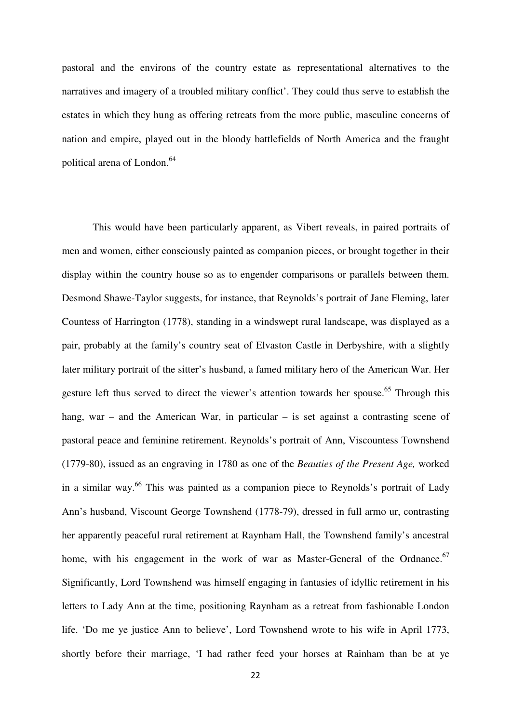pastoral and the environs of the country estate as representational alternatives to the narratives and imagery of a troubled military conflict'. They could thus serve to establish the estates in which they hung as offering retreats from the more public, masculine concerns of nation and empire, played out in the bloody battlefields of North America and the fraught political arena of London.<sup>64</sup>

 This would have been particularly apparent, as Vibert reveals, in paired portraits of men and women, either consciously painted as companion pieces, or brought together in their display within the country house so as to engender comparisons or parallels between them. Desmond Shawe-Taylor suggests, for instance, that Reynolds's portrait of Jane Fleming, later Countess of Harrington (1778), standing in a windswept rural landscape, was displayed as a pair, probably at the family's country seat of Elvaston Castle in Derbyshire, with a slightly later military portrait of the sitter's husband, a famed military hero of the American War. Her gesture left thus served to direct the viewer's attention towards her spouse.<sup>65</sup> Through this hang, war – and the American War, in particular – is set against a contrasting scene of pastoral peace and feminine retirement. Reynolds's portrait of Ann, Viscountess Townshend (1779-80), issued as an engraving in 1780 as one of the *Beauties of the Present Age,* worked in a similar way.<sup>66</sup> This was painted as a companion piece to Reynolds's portrait of Lady Ann's husband, Viscount George Townshend (1778-79), dressed in full armo ur, contrasting her apparently peaceful rural retirement at Raynham Hall, the Townshend family's ancestral home, with his engagement in the work of war as Master-General of the Ordnance.<sup>67</sup> Significantly, Lord Townshend was himself engaging in fantasies of idyllic retirement in his letters to Lady Ann at the time, positioning Raynham as a retreat from fashionable London life. 'Do me ye justice Ann to believe', Lord Townshend wrote to his wife in April 1773, shortly before their marriage, 'I had rather feed your horses at Rainham than be at ye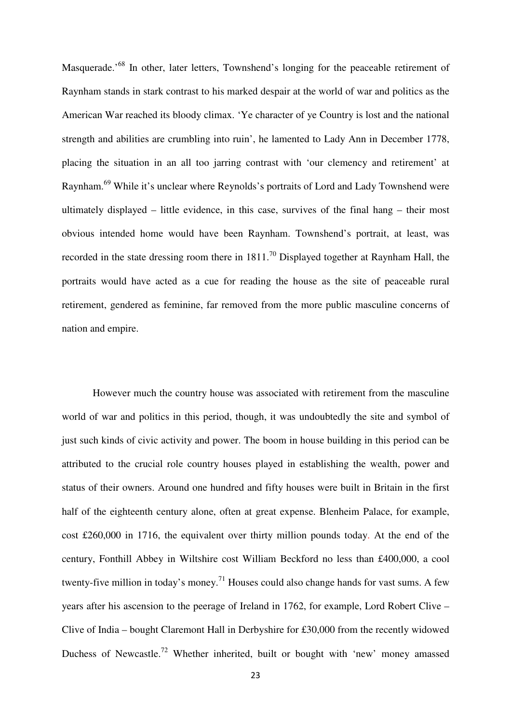Masquerade.<sup>68</sup> In other, later letters, Townshend's longing for the peaceable retirement of Raynham stands in stark contrast to his marked despair at the world of war and politics as the American War reached its bloody climax. 'Ye character of ye Country is lost and the national strength and abilities are crumbling into ruin', he lamented to Lady Ann in December 1778, placing the situation in an all too jarring contrast with 'our clemency and retirement' at Raynham.<sup>69</sup> While it's unclear where Reynolds's portraits of Lord and Lady Townshend were ultimately displayed – little evidence, in this case, survives of the final hang – their most obvious intended home would have been Raynham. Townshend's portrait, at least, was recorded in the state dressing room there in  $1811$ <sup>70</sup> Displayed together at Raynham Hall, the portraits would have acted as a cue for reading the house as the site of peaceable rural retirement, gendered as feminine, far removed from the more public masculine concerns of nation and empire.

 However much the country house was associated with retirement from the masculine world of war and politics in this period, though, it was undoubtedly the site and symbol of just such kinds of civic activity and power. The boom in house building in this period can be attributed to the crucial role country houses played in establishing the wealth, power and status of their owners. Around one hundred and fifty houses were built in Britain in the first half of the eighteenth century alone, often at great expense. Blenheim Palace, for example, cost £260,000 in 1716, the equivalent over thirty million pounds today. At the end of the century, Fonthill Abbey in Wiltshire cost William Beckford no less than £400,000, a cool twenty-five million in today's money.<sup>71</sup> Houses could also change hands for vast sums. A few years after his ascension to the peerage of Ireland in 1762, for example, Lord Robert Clive – Clive of India – bought Claremont Hall in Derbyshire for £30,000 from the recently widowed Duchess of Newcastle.<sup>72</sup> Whether inherited, built or bought with 'new' money amassed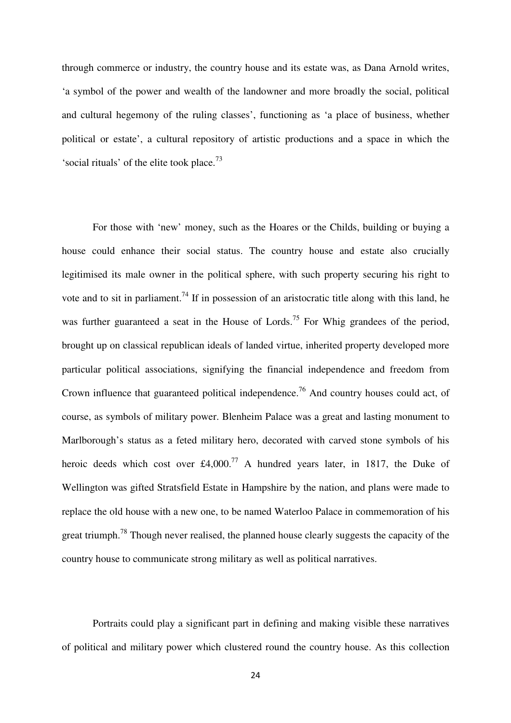through commerce or industry, the country house and its estate was, as Dana Arnold writes, 'a symbol of the power and wealth of the landowner and more broadly the social, political and cultural hegemony of the ruling classes', functioning as 'a place of business, whether political or estate', a cultural repository of artistic productions and a space in which the 'social rituals' of the elite took place. $73$ 

For those with 'new' money, such as the Hoares or the Childs, building or buying a house could enhance their social status. The country house and estate also crucially legitimised its male owner in the political sphere, with such property securing his right to vote and to sit in parliament.<sup>74</sup> If in possession of an aristocratic title along with this land, he was further guaranteed a seat in the House of Lords.<sup>75</sup> For Whig grandees of the period, brought up on classical republican ideals of landed virtue, inherited property developed more particular political associations, signifying the financial independence and freedom from Crown influence that guaranteed political independence.<sup>76</sup> And country houses could act, of course, as symbols of military power. Blenheim Palace was a great and lasting monument to Marlborough's status as a feted military hero, decorated with carved stone symbols of his heroic deeds which cost over £4,000.<sup>77</sup> A hundred years later, in 1817, the Duke of Wellington was gifted Stratsfield Estate in Hampshire by the nation, and plans were made to replace the old house with a new one, to be named Waterloo Palace in commemoration of his great triumph.<sup>78</sup> Though never realised, the planned house clearly suggests the capacity of the country house to communicate strong military as well as political narratives.

 Portraits could play a significant part in defining and making visible these narratives of political and military power which clustered round the country house. As this collection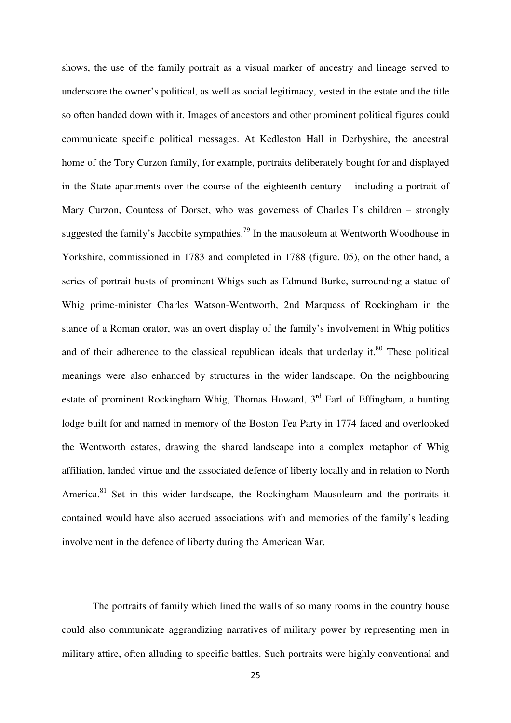shows, the use of the family portrait as a visual marker of ancestry and lineage served to underscore the owner's political, as well as social legitimacy, vested in the estate and the title so often handed down with it. Images of ancestors and other prominent political figures could communicate specific political messages. At Kedleston Hall in Derbyshire, the ancestral home of the Tory Curzon family, for example, portraits deliberately bought for and displayed in the State apartments over the course of the eighteenth century – including a portrait of Mary Curzon, Countess of Dorset, who was governess of Charles I's children – strongly suggested the family's Jacobite sympathies.<sup>79</sup> In the mausoleum at Wentworth Woodhouse in Yorkshire, commissioned in 1783 and completed in 1788 (figure. 05), on the other hand, a series of portrait busts of prominent Whigs such as Edmund Burke, surrounding a statue of Whig prime-minister Charles Watson-Wentworth, 2nd Marquess of Rockingham in the stance of a Roman orator, was an overt display of the family's involvement in Whig politics and of their adherence to the classical republican ideals that underlay it. $80$  These political meanings were also enhanced by structures in the wider landscape. On the neighbouring estate of prominent Rockingham Whig, Thomas Howard,  $3<sup>rd</sup>$  Earl of Effingham, a hunting lodge built for and named in memory of the Boston Tea Party in 1774 faced and overlooked the Wentworth estates, drawing the shared landscape into a complex metaphor of Whig affiliation, landed virtue and the associated defence of liberty locally and in relation to North America.<sup>81</sup> Set in this wider landscape, the Rockingham Mausoleum and the portraits it contained would have also accrued associations with and memories of the family's leading involvement in the defence of liberty during the American War.

 The portraits of family which lined the walls of so many rooms in the country house could also communicate aggrandizing narratives of military power by representing men in military attire, often alluding to specific battles. Such portraits were highly conventional and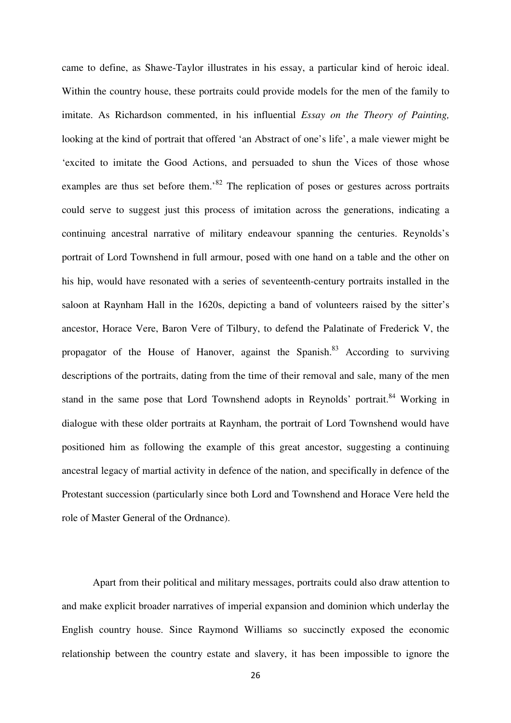came to define, as Shawe-Taylor illustrates in his essay, a particular kind of heroic ideal. Within the country house, these portraits could provide models for the men of the family to imitate. As Richardson commented, in his influential *Essay on the Theory of Painting,* looking at the kind of portrait that offered 'an Abstract of one's life', a male viewer might be 'excited to imitate the Good Actions, and persuaded to shun the Vices of those whose examples are thus set before them.<sup>82</sup> The replication of poses or gestures across portraits could serve to suggest just this process of imitation across the generations, indicating a continuing ancestral narrative of military endeavour spanning the centuries. Reynolds's portrait of Lord Townshend in full armour, posed with one hand on a table and the other on his hip, would have resonated with a series of seventeenth-century portraits installed in the saloon at Raynham Hall in the 1620s, depicting a band of volunteers raised by the sitter's ancestor, Horace Vere, Baron Vere of Tilbury, to defend the Palatinate of Frederick V, the propagator of the House of Hanover, against the Spanish.<sup>83</sup> According to surviving descriptions of the portraits, dating from the time of their removal and sale, many of the men stand in the same pose that Lord Townshend adopts in Reynolds' portrait.<sup>84</sup> Working in dialogue with these older portraits at Raynham, the portrait of Lord Townshend would have positioned him as following the example of this great ancestor, suggesting a continuing ancestral legacy of martial activity in defence of the nation, and specifically in defence of the Protestant succession (particularly since both Lord and Townshend and Horace Vere held the role of Master General of the Ordnance).

Apart from their political and military messages, portraits could also draw attention to and make explicit broader narratives of imperial expansion and dominion which underlay the English country house. Since Raymond Williams so succinctly exposed the economic relationship between the country estate and slavery, it has been impossible to ignore the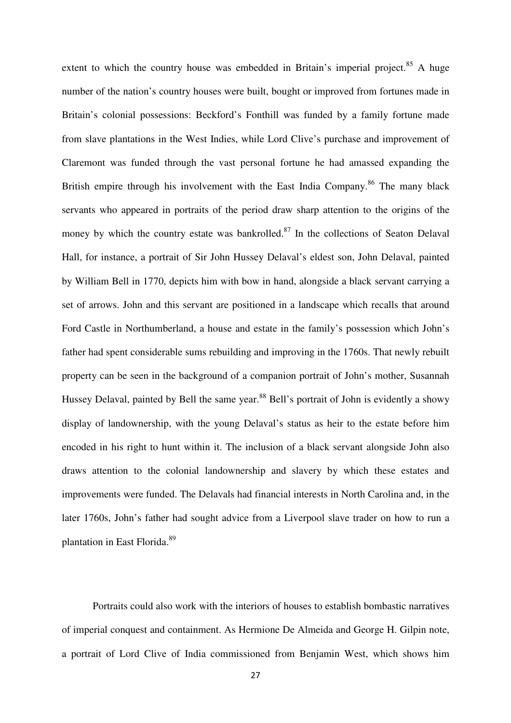extent to which the country house was embedded in Britain's imperial project.<sup>85</sup> A huge number of the nation's country houses were built, bought or improved from fortunes made in Britain's colonial possessions: Beckford's Fonthill was funded by a family fortune made from slave plantations in the West Indies, while Lord Clive's purchase and improvement of Claremont was funded through the vast personal fortune he had amassed expanding the British empire through his involvement with the East India Company.<sup>86</sup> The many black servants who appeared in portraits of the period draw sharp attention to the origins of the money by which the country estate was bankrolled. $87$  In the collections of Seaton Delaval Hall, for instance, a portrait of Sir John Hussey Delaval's eldest son, John Delaval, painted by William Bell in 1770, depicts him with bow in hand, alongside a black servant carrying a set of arrows. John and this servant are positioned in a landscape which recalls that around Ford Castle in Northumberland, a house and estate in the family's possession which John's father had spent considerable sums rebuilding and improving in the 1760s. That newly rebuilt property can be seen in the background of a companion portrait of John's mother, Susannah Hussey Delaval, painted by Bell the same year.<sup>88</sup> Bell's portrait of John is evidently a showy display of landownership, with the young Delaval's status as heir to the estate before him encoded in his right to hunt within it. The inclusion of a black servant alongside John also draws attention to the colonial landownership and slavery by which these estates and improvements were funded. The Delavals had financial interests in North Carolina and, in the later 1760s, John's father had sought advice from a Liverpool slave trader on how to run a plantation in East Florida.<sup>89</sup>

Portraits could also work with the interiors of houses to establish bombastic narratives of imperial conquest and containment. As Hermione De Almeida and George H. Gilpin note, a portrait of Lord Clive of India commissioned from Benjamin West, which shows him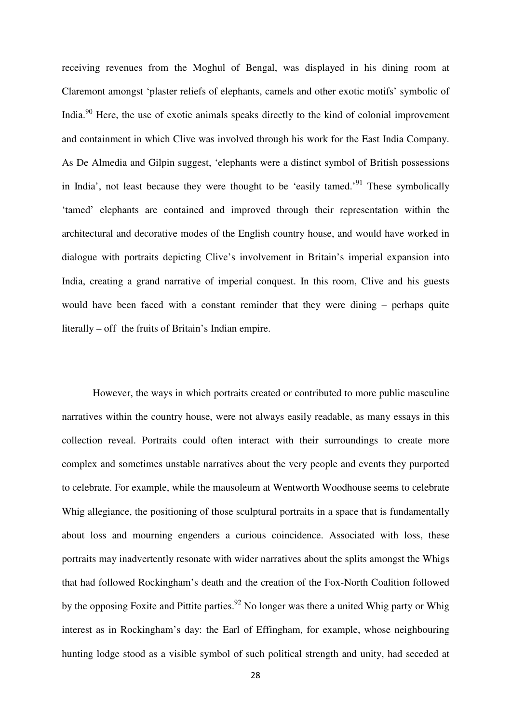receiving revenues from the Moghul of Bengal, was displayed in his dining room at Claremont amongst 'plaster reliefs of elephants, camels and other exotic motifs' symbolic of India.<sup>90</sup> Here, the use of exotic animals speaks directly to the kind of colonial improvement and containment in which Clive was involved through his work for the East India Company. As De Almedia and Gilpin suggest, 'elephants were a distinct symbol of British possessions in India', not least because they were thought to be 'easily tamed.'<sup>91</sup> These symbolically 'tamed' elephants are contained and improved through their representation within the architectural and decorative modes of the English country house, and would have worked in dialogue with portraits depicting Clive's involvement in Britain's imperial expansion into India, creating a grand narrative of imperial conquest. In this room, Clive and his guests would have been faced with a constant reminder that they were dining – perhaps quite literally – off the fruits of Britain's Indian empire.

However, the ways in which portraits created or contributed to more public masculine narratives within the country house, were not always easily readable, as many essays in this collection reveal. Portraits could often interact with their surroundings to create more complex and sometimes unstable narratives about the very people and events they purported to celebrate. For example, while the mausoleum at Wentworth Woodhouse seems to celebrate Whig allegiance, the positioning of those sculptural portraits in a space that is fundamentally about loss and mourning engenders a curious coincidence. Associated with loss, these portraits may inadvertently resonate with wider narratives about the splits amongst the Whigs that had followed Rockingham's death and the creation of the Fox-North Coalition followed by the opposing Foxite and Pittite parties.<sup>92</sup> No longer was there a united Whig party or Whig interest as in Rockingham's day: the Earl of Effingham, for example, whose neighbouring hunting lodge stood as a visible symbol of such political strength and unity, had seceded at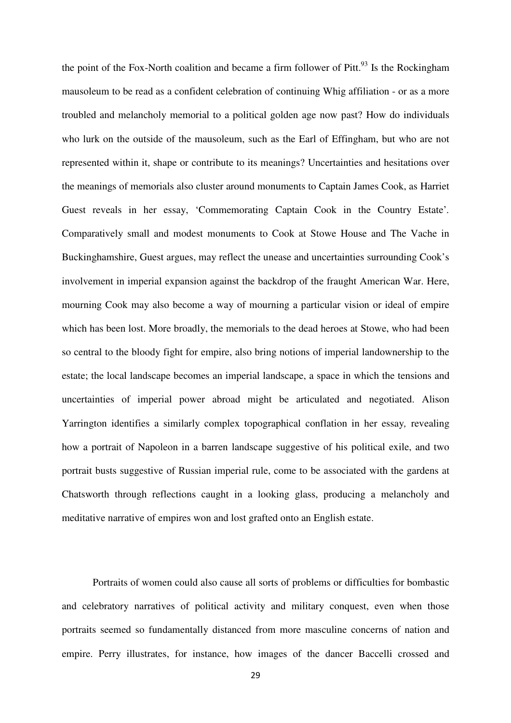the point of the Fox-North coalition and became a firm follower of Pitt. $93$  Is the Rockingham mausoleum to be read as a confident celebration of continuing Whig affiliation - or as a more troubled and melancholy memorial to a political golden age now past? How do individuals who lurk on the outside of the mausoleum, such as the Earl of Effingham, but who are not represented within it, shape or contribute to its meanings? Uncertainties and hesitations over the meanings of memorials also cluster around monuments to Captain James Cook, as Harriet Guest reveals in her essay, 'Commemorating Captain Cook in the Country Estate'*.*  Comparatively small and modest monuments to Cook at Stowe House and The Vache in Buckinghamshire, Guest argues, may reflect the unease and uncertainties surrounding Cook's involvement in imperial expansion against the backdrop of the fraught American War. Here, mourning Cook may also become a way of mourning a particular vision or ideal of empire which has been lost. More broadly, the memorials to the dead heroes at Stowe, who had been so central to the bloody fight for empire, also bring notions of imperial landownership to the estate; the local landscape becomes an imperial landscape, a space in which the tensions and uncertainties of imperial power abroad might be articulated and negotiated. Alison Yarrington identifies a similarly complex topographical conflation in her essay*,* revealing how a portrait of Napoleon in a barren landscape suggestive of his political exile, and two portrait busts suggestive of Russian imperial rule, come to be associated with the gardens at Chatsworth through reflections caught in a looking glass, producing a melancholy and meditative narrative of empires won and lost grafted onto an English estate.

Portraits of women could also cause all sorts of problems or difficulties for bombastic and celebratory narratives of political activity and military conquest, even when those portraits seemed so fundamentally distanced from more masculine concerns of nation and empire. Perry illustrates, for instance, how images of the dancer Baccelli crossed and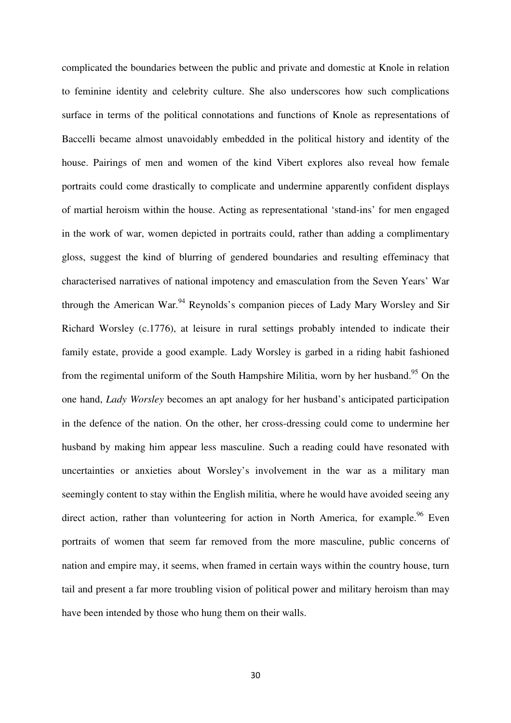complicated the boundaries between the public and private and domestic at Knole in relation to feminine identity and celebrity culture. She also underscores how such complications surface in terms of the political connotations and functions of Knole as representations of Baccelli became almost unavoidably embedded in the political history and identity of the house. Pairings of men and women of the kind Vibert explores also reveal how female portraits could come drastically to complicate and undermine apparently confident displays of martial heroism within the house. Acting as representational 'stand-ins' for men engaged in the work of war, women depicted in portraits could, rather than adding a complimentary gloss, suggest the kind of blurring of gendered boundaries and resulting effeminacy that characterised narratives of national impotency and emasculation from the Seven Years' War through the American War.<sup>94</sup> Reynolds's companion pieces of Lady Mary Worsley and Sir Richard Worsley (c.1776), at leisure in rural settings probably intended to indicate their family estate, provide a good example. Lady Worsley is garbed in a riding habit fashioned from the regimental uniform of the South Hampshire Militia, worn by her husband.<sup>95</sup> On the one hand, *Lady Worsley* becomes an apt analogy for her husband's anticipated participation in the defence of the nation. On the other, her cross-dressing could come to undermine her husband by making him appear less masculine. Such a reading could have resonated with uncertainties or anxieties about Worsley's involvement in the war as a military man seemingly content to stay within the English militia, where he would have avoided seeing any direct action, rather than volunteering for action in North America, for example.<sup>96</sup> Even portraits of women that seem far removed from the more masculine, public concerns of nation and empire may, it seems, when framed in certain ways within the country house, turn tail and present a far more troubling vision of political power and military heroism than may have been intended by those who hung them on their walls.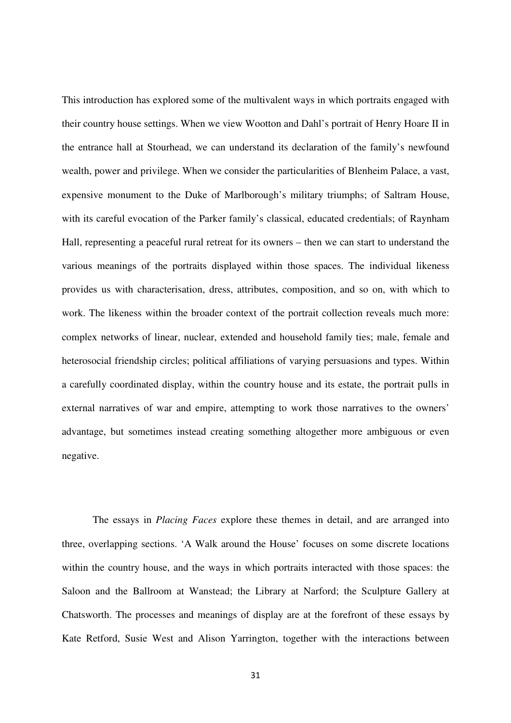This introduction has explored some of the multivalent ways in which portraits engaged with their country house settings. When we view Wootton and Dahl's portrait of Henry Hoare II in the entrance hall at Stourhead, we can understand its declaration of the family's newfound wealth, power and privilege. When we consider the particularities of Blenheim Palace, a vast, expensive monument to the Duke of Marlborough's military triumphs; of Saltram House, with its careful evocation of the Parker family's classical, educated credentials; of Raynham Hall, representing a peaceful rural retreat for its owners – then we can start to understand the various meanings of the portraits displayed within those spaces. The individual likeness provides us with characterisation, dress, attributes, composition, and so on, with which to work. The likeness within the broader context of the portrait collection reveals much more: complex networks of linear, nuclear, extended and household family ties; male, female and heterosocial friendship circles; political affiliations of varying persuasions and types. Within a carefully coordinated display, within the country house and its estate, the portrait pulls in external narratives of war and empire, attempting to work those narratives to the owners' advantage, but sometimes instead creating something altogether more ambiguous or even negative.

 The essays in *Placing Faces* explore these themes in detail, and are arranged into three, overlapping sections. 'A Walk around the House' focuses on some discrete locations within the country house, and the ways in which portraits interacted with those spaces: the Saloon and the Ballroom at Wanstead; the Library at Narford; the Sculpture Gallery at Chatsworth. The processes and meanings of display are at the forefront of these essays by Kate Retford, Susie West and Alison Yarrington, together with the interactions between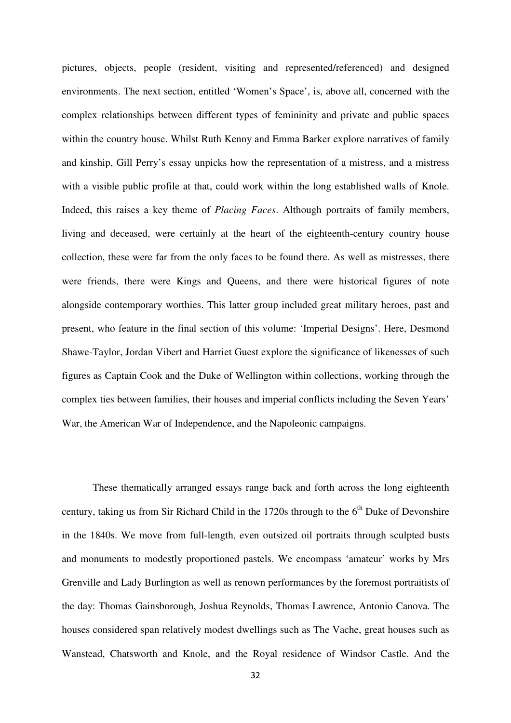pictures, objects, people (resident, visiting and represented/referenced) and designed environments. The next section, entitled 'Women's Space', is, above all, concerned with the complex relationships between different types of femininity and private and public spaces within the country house. Whilst Ruth Kenny and Emma Barker explore narratives of family and kinship, Gill Perry's essay unpicks how the representation of a mistress, and a mistress with a visible public profile at that, could work within the long established walls of Knole. Indeed, this raises a key theme of *Placing Faces*. Although portraits of family members, living and deceased, were certainly at the heart of the eighteenth-century country house collection, these were far from the only faces to be found there. As well as mistresses, there were friends, there were Kings and Queens, and there were historical figures of note alongside contemporary worthies. This latter group included great military heroes, past and present, who feature in the final section of this volume: 'Imperial Designs'. Here, Desmond Shawe-Taylor, Jordan Vibert and Harriet Guest explore the significance of likenesses of such figures as Captain Cook and the Duke of Wellington within collections, working through the complex ties between families, their houses and imperial conflicts including the Seven Years' War, the American War of Independence, and the Napoleonic campaigns.

 These thematically arranged essays range back and forth across the long eighteenth century, taking us from Sir Richard Child in the  $1720s$  through to the  $6<sup>th</sup>$  Duke of Devonshire in the 1840s. We move from full-length, even outsized oil portraits through sculpted busts and monuments to modestly proportioned pastels. We encompass 'amateur' works by Mrs Grenville and Lady Burlington as well as renown performances by the foremost portraitists of the day: Thomas Gainsborough, Joshua Reynolds, Thomas Lawrence, Antonio Canova. The houses considered span relatively modest dwellings such as The Vache, great houses such as Wanstead, Chatsworth and Knole, and the Royal residence of Windsor Castle. And the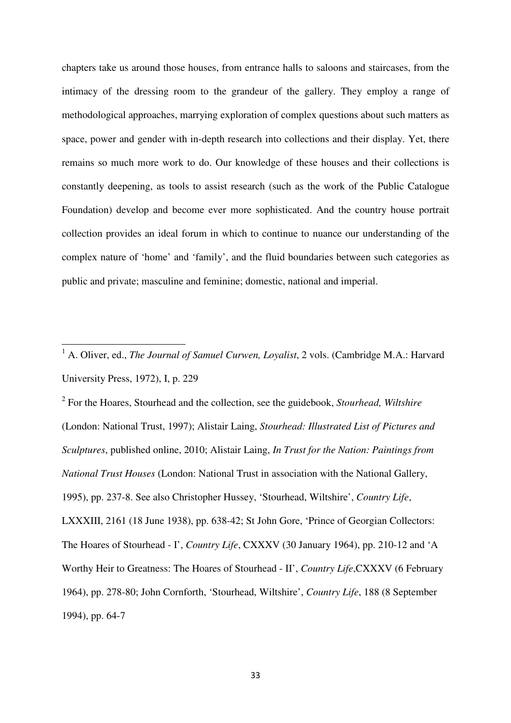chapters take us around those houses, from entrance halls to saloons and staircases, from the intimacy of the dressing room to the grandeur of the gallery. They employ a range of methodological approaches, marrying exploration of complex questions about such matters as space, power and gender with in-depth research into collections and their display. Yet, there remains so much more work to do. Our knowledge of these houses and their collections is constantly deepening, as tools to assist research (such as the work of the Public Catalogue Foundation) develop and become ever more sophisticated. And the country house portrait collection provides an ideal forum in which to continue to nuance our understanding of the complex nature of 'home' and 'family', and the fluid boundaries between such categories as public and private; masculine and feminine; domestic, national and imperial.

l

2 For the Hoares, Stourhead and the collection, see the guidebook, *Stourhead, Wiltshire*  (London: National Trust, 1997); Alistair Laing, *Stourhead: Illustrated List of Pictures and Sculptures*, published online, 2010; Alistair Laing, *In Trust for the Nation: Paintings from National Trust Houses* (London: National Trust in association with the National Gallery, 1995), pp. 237-8. See also Christopher Hussey, 'Stourhead, Wiltshire', *Country Life*, LXXXIII, 2161 (18 June 1938), pp. 638-42; St John Gore, 'Prince of Georgian Collectors: The Hoares of Stourhead - I', *Country Life*, CXXXV (30 January 1964), pp. 210-12 and 'A Worthy Heir to Greatness: The Hoares of Stourhead - II', *Country Life*,CXXXV (6 February 1964), pp. 278-80; John Cornforth, 'Stourhead, Wiltshire', *Country Life*, 188 (8 September 1994), pp. 64-7

<sup>&</sup>lt;sup>1</sup> A. Oliver, ed., *The Journal of Samuel Curwen, Loyalist*, 2 vols. (Cambridge M.A.: Harvard University Press, 1972), I, p. 229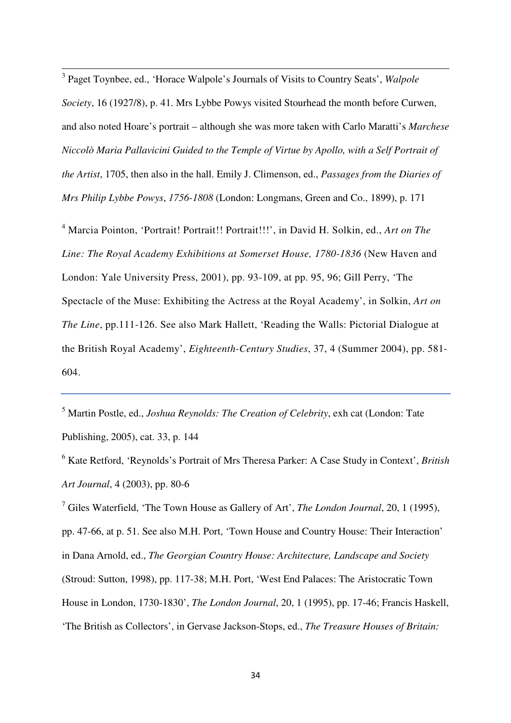3 Paget Toynbee, ed., 'Horace Walpole's Journals of Visits to Country Seats', *Walpole Society*, 16 (1927/8), p. 41. Mrs Lybbe Powys visited Stourhead the month before Curwen, and also noted Hoare's portrait – although she was more taken with Carlo Maratti's *Marchese Niccolò Maria Pallavicini Guided to the Temple of Virtue by Apollo, with a Self Portrait of the Artist*, 1705, then also in the hall. Emily J. Climenson, ed., *Passages from the Diaries of Mrs Philip Lybbe Powys*, *1756-1808* (London: Longmans, Green and Co., 1899), p. 171

l

<sup>4</sup> Marcia Pointon, 'Portrait! Portrait!! Portrait!!!', in David H. Solkin, ed., *Art on The* Line: The Royal Academy Exhibitions at Somerset House, 1780-1836 (New Haven and London: Yale University Press, 2001), pp. 93-109, at pp. 95, 96; Gill Perry, 'The Spectacle of the Muse: Exhibiting the Actress at the Royal Academy', in Solkin, *Art on The Line*, pp.111-126. See also Mark Hallett, 'Reading the Walls: Pictorial Dialogue at the British Royal Academy', *Eighteenth-Century Studies*, 37, 4 (Summer 2004), pp. 581- 604.

5 Martin Postle, ed., *Joshua Reynolds: The Creation of Celebrity*, exh cat (London: Tate Publishing, 2005), cat. 33, p. 144

6 Kate Retford, 'Reynolds's Portrait of Mrs Theresa Parker: A Case Study in Context', *British Art Journal*, 4 (2003), pp. 80-6

7 Giles Waterfield, 'The Town House as Gallery of Art', *The London Journal*, 20, 1 (1995), pp. 47-66, at p. 51. See also M.H. Port, 'Town House and Country House: Their Interaction' in Dana Arnold, ed., *The Georgian Country House: Architecture, Landscape and Society*  (Stroud: Sutton, 1998), pp. 117-38; M.H. Port, 'West End Palaces: The Aristocratic Town House in London, 1730-1830', *The London Journal*, 20, 1 (1995), pp. 17-46; Francis Haskell, 'The British as Collectors', in Gervase Jackson-Stops, ed., *The Treasure Houses of Britain:*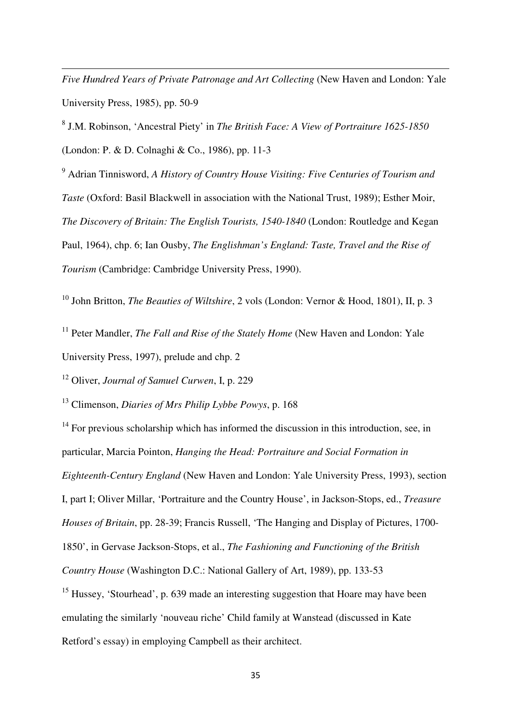*Five Hundred Years of Private Patronage and Art Collecting (New Haven and London: Yale* University Press, 1985), pp. 50-9

8 J.M. Robinson, 'Ancestral Piety' in *The British Face: A View of Portraiture 1625-1850* (London: P. & D. Colnaghi & Co., 1986), pp. 11-3

9 Adrian Tinnisword, *A History of Country House Visiting: Five Centuries of Tourism and Taste* (Oxford: Basil Blackwell in association with the National Trust, 1989); Esther Moir, *The Discovery of Britain: The English Tourists, 1540-1840 (London: Routledge and Kegan* Paul, 1964), chp. 6; Ian Ousby, *The Englishman's England: Taste, Travel and the Rise of Tourism* (Cambridge: Cambridge University Press, 1990).

<sup>10</sup> John Britton, *The Beauties of Wiltshire*, 2 vols (London: Vernor & Hood, 1801), II, p. 3

<sup>11</sup> Peter Mandler, *The Fall and Rise of the Stately Home* (New Haven and London: Yale

University Press, 1997), prelude and chp. 2

l

<sup>12</sup> Oliver, *Journal of Samuel Curwen*, I, p. 229

<sup>13</sup> Climenson, *Diaries of Mrs Philip Lybbe Powys*, p. 168

 $14$  For previous scholarship which has informed the discussion in this introduction, see, in particular, Marcia Pointon, *Hanging the Head: Portraiture and Social Formation in Eighteenth-Century England* (New Haven and London: Yale University Press, 1993), section I, part I; Oliver Millar, 'Portraiture and the Country House', in Jackson-Stops, ed., *Treasure Houses of Britain*, pp. 28-39; Francis Russell, 'The Hanging and Display of Pictures, 1700- 1850', in Gervase Jackson-Stops, et al., *The Fashioning and Functioning of the British Country House* (Washington D.C.: National Gallery of Art, 1989), pp. 133-53

<sup>15</sup> Hussey, 'Stourhead', p. 639 made an interesting suggestion that Hoare may have been emulating the similarly 'nouveau riche' Child family at Wanstead (discussed in Kate Retford's essay) in employing Campbell as their architect.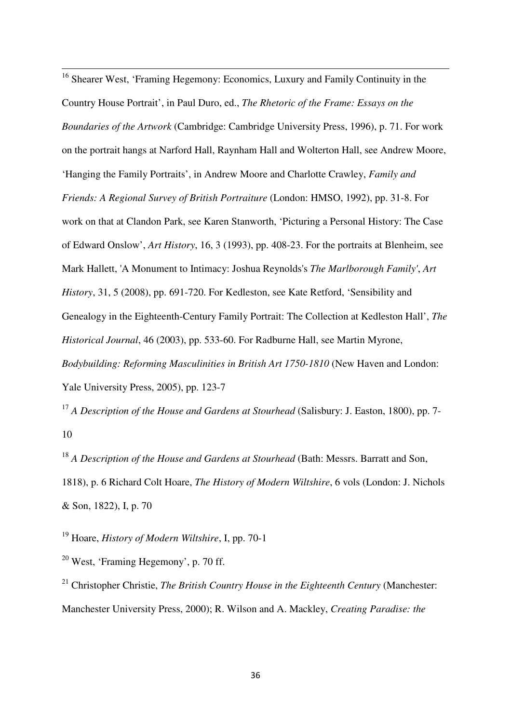<sup>16</sup> Shearer West, 'Framing Hegemony: Economics, Luxury and Family Continuity in the Country House Portrait', in Paul Duro, ed., *The Rhetoric of the Frame: Essays on the Boundaries of the Artwork* (Cambridge: Cambridge University Press, 1996), p. 71. For work on the portrait hangs at Narford Hall, Raynham Hall and Wolterton Hall, see Andrew Moore, 'Hanging the Family Portraits', in Andrew Moore and Charlotte Crawley, *Family and Friends: A Regional Survey of British Portraiture* (London: HMSO, 1992), pp. 31-8. For work on that at Clandon Park, see Karen Stanworth, 'Picturing a Personal History: The Case of Edward Onslow', *Art History*, 16, 3 (1993), pp. 408-23. For the portraits at Blenheim, see Mark Hallett, 'A Monument to Intimacy: Joshua Reynolds's *The Marlborough Family'*, *Art History*, 31, 5 (2008), pp. 691-720. For Kedleston, see Kate Retford, 'Sensibility and Genealogy in the Eighteenth-Century Family Portrait: The Collection at Kedleston Hall', *The Historical Journal*, 46 (2003), pp. 533-60. For Radburne Hall, see Martin Myrone, *Bodybuilding: Reforming Masculinities in British Art 1750-1810* (New Haven and London: Yale University Press, 2005), pp. 123-7

<sup>17</sup> *A Description of the House and Gardens at Stourhead* (Salisbury: J. Easton, 1800), pp. 7-10

<sup>18</sup> *A Description of the House and Gardens at Stourhead* (Bath: Messrs. Barratt and Son. 1818), p. 6 Richard Colt Hoare, *The History of Modern Wiltshire*, 6 vols (London: J. Nichols & Son, 1822), I, p. 70

<sup>19</sup> Hoare, *History of Modern Wiltshire*, I, pp. 70-1

 $20$  West, 'Framing Hegemony', p. 70 ff.

l

<sup>21</sup> Christopher Christie, *The British Country House in the Eighteenth Century* (Manchester: Manchester University Press, 2000); R. Wilson and A. Mackley, *Creating Paradise: the*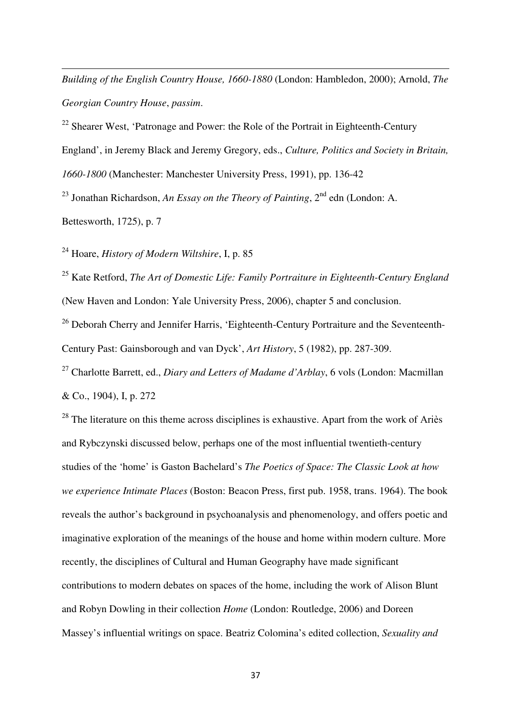*Building of the English Country House, 1660-1880* (London: Hambledon, 2000); Arnold, *The Georgian Country House*, *passim*.

<sup>22</sup> Shearer West, 'Patronage and Power: the Role of the Portrait in Eighteenth-Century England', in Jeremy Black and Jeremy Gregory, eds., *Culture, Politics and Society in Britain, 1660-1800* (Manchester: Manchester University Press, 1991), pp. 136-42

<sup>23</sup> Jonathan Richardson, *An Essay on the Theory of Painting*,  $2<sup>nd</sup>$  edn (London: A.

Bettesworth, 1725), p. 7

l

<sup>24</sup> Hoare, *History of Modern Wiltshire*, I, p. 85

<sup>25</sup> Kate Retford, *The Art of Domestic Life: Family Portraiture in Eighteenth-Century England*  (New Haven and London: Yale University Press, 2006), chapter 5 and conclusion.

 $26$  Deborah Cherry and Jennifer Harris, 'Eighteenth-Century Portraiture and the Seventeenth-Century Past: Gainsborough and van Dyck', *Art History*, 5 (1982), pp. 287-309.

<sup>27</sup> Charlotte Barrett, ed., *Diary and Letters of Madame d'Arblay*, 6 vols (London: Macmillan & Co., 1904), I, p. 272

 $28$  The literature on this theme across disciplines is exhaustive. Apart from the work of Ariès and Rybczynski discussed below, perhaps one of the most influential twentieth-century studies of the 'home' is Gaston Bachelard's *The Poetics of Space: The Classic Look at how we experience Intimate Places* (Boston: Beacon Press, first pub. 1958, trans. 1964). The book reveals the author's background in psychoanalysis and phenomenology, and offers poetic and imaginative exploration of the meanings of the house and home within modern culture. More recently, the disciplines of Cultural and Human Geography have made significant contributions to modern debates on spaces of the home, including the work of Alison Blunt and Robyn Dowling in their collection *Home* (London: Routledge, 2006) and Doreen Massey's influential writings on space. Beatriz Colomina's edited collection, *Sexuality and*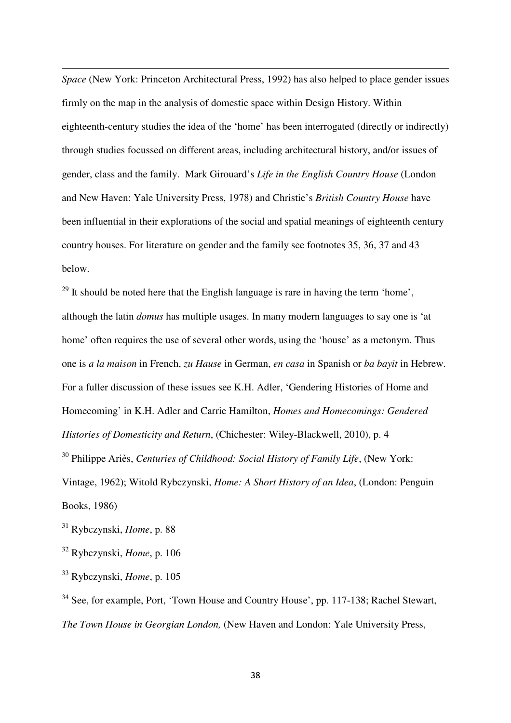*Space* (New York: Princeton Architectural Press, 1992) has also helped to place gender issues firmly on the map in the analysis of domestic space within Design History. Within eighteenth-century studies the idea of the 'home' has been interrogated (directly or indirectly) through studies focussed on different areas, including architectural history, and/or issues of gender, class and the family. Mark Girouard's *Life in the English Country House* (London and New Haven: Yale University Press, 1978) and Christie's *British Country House* have been influential in their explorations of the social and spatial meanings of eighteenth century country houses. For literature on gender and the family see footnotes 35, 36, 37 and 43 below.

 $29$  It should be noted here that the English language is rare in having the term 'home', although the latin *domus* has multiple usages. In many modern languages to say one is 'at home' often requires the use of several other words, using the 'house' as a metonym. Thus one is *a la maison* in French, *zu Hause* in German, *en casa* in Spanish or *ba bayit* in Hebrew. For a fuller discussion of these issues see K.H. Adler, 'Gendering Histories of Home and Homecoming' in K.H. Adler and Carrie Hamilton, *Homes and Homecomings: Gendered Histories of Domesticity and Return*, (Chichester: Wiley-Blackwell, 2010), p. 4 <sup>30</sup> Philippe Ariès, *Centuries of Childhood: Social History of Family Life*, (New York: Vintage, 1962); Witold Rybczynski, *Home: A Short History of an Idea*, (London: Penguin Books, 1986)

<sup>31</sup> Rybczynski, *Home*, p. 88

l

<sup>32</sup> Rybczynski, *Home*, p. 106

<sup>33</sup> Rybczynski, *Home*, p. 105

<sup>34</sup> See, for example, Port, 'Town House and Country House', pp. 117-138; Rachel Stewart, *The Town House in Georgian London,* (New Haven and London: Yale University Press,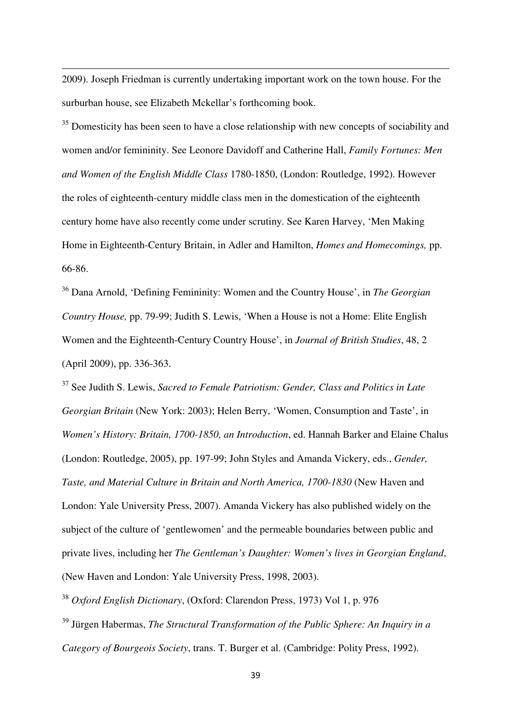2009). Joseph Friedman is currently undertaking important work on the town house. For the surburban house, see Elizabeth Mckellar's forthcoming book.

l

<sup>35</sup> Domesticity has been seen to have a close relationship with new concepts of sociability and women and/or femininity. See Leonore Davidoff and Catherine Hall, *Family Fortunes: Men and Women of the English Middle Class* 1780-1850, (London: Routledge, 1992). However the roles of eighteenth-century middle class men in the domestication of the eighteenth century home have also recently come under scrutiny. See Karen Harvey, 'Men Making Home in Eighteenth-Century Britain, in Adler and Hamilton, *Homes and Homecomings,* pp. 66-86.

<sup>36</sup> Dana Arnold, 'Defining Femininity: Women and the Country House', in *The Georgian Country House,* pp. 79-99; Judith S. Lewis, 'When a House is not a Home: Elite English Women and the Eighteenth-Century Country House', in *Journal of British Studies*, 48, 2 (April 2009), pp. 336-363.

<sup>37</sup> See Judith S. Lewis, *Sacred to Female Patriotism: Gender, Class and Politics in Late Georgian Britain* (New York: 2003); Helen Berry, 'Women, Consumption and Taste', in *Women's History: Britain, 1700-1850, an Introduction*, ed. Hannah Barker and Elaine Chalus (London: Routledge, 2005), pp. 197-99; John Styles and Amanda Vickery, eds., *Gender, Taste, and Material Culture in Britain and North America, 1700-1830* (New Haven and London: Yale University Press, 2007). Amanda Vickery has also published widely on the subject of the culture of 'gentlewomen' and the permeable boundaries between public and private lives, including her *The Gentleman's Daughter: Women's lives in Georgian England*, (New Haven and London: Yale University Press, 1998, 2003).

<sup>38</sup> *Oxford English Dictionary*, (Oxford: Clarendon Press, 1973) Vol 1, p. 976

<sup>39</sup> Jürgen Habermas, *The Structural Transformation of the Public Sphere: An Inquiry in a Category of Bourgeois Society*, trans. T. Burger et al. (Cambridge: Polity Press, 1992).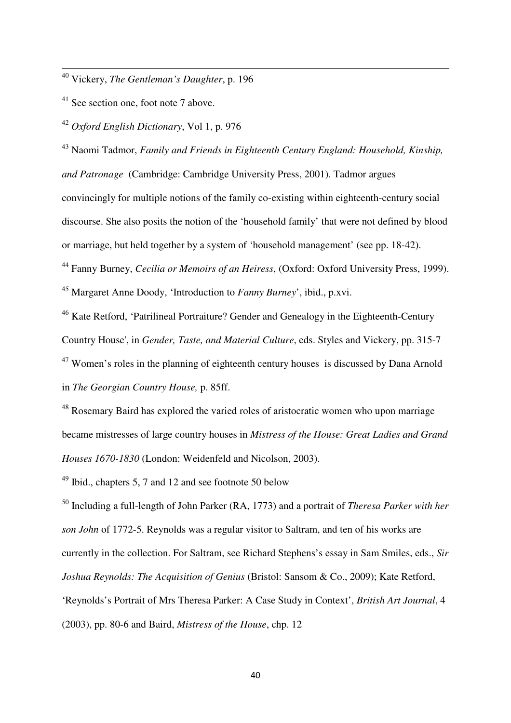<sup>40</sup> Vickery, *The Gentleman's Daughter*, p. 196

<sup>41</sup> See section one, foot note 7 above.

l

<sup>42</sup> *Oxford English Dictionary*, Vol 1, p. 976

<sup>43</sup> Naomi Tadmor, *Family and Friends in Eighteenth Century England: Household, Kinship, and Patronage* (Cambridge: Cambridge University Press, 2001). Tadmor argues convincingly for multiple notions of the family co-existing within eighteenth-century social discourse. She also posits the notion of the 'household family' that were not defined by blood or marriage, but held together by a system of 'household management' (see pp. 18-42).

<sup>44</sup> Fanny Burney, *Cecilia or Memoirs of an Heiress*, (Oxford: Oxford University Press, 1999). <sup>45</sup> Margaret Anne Doody, 'Introduction to *Fanny Burney*', ibid., p.xvi.

<sup>46</sup> Kate Retford, 'Patrilineal Portraiture? Gender and Genealogy in the Eighteenth-Century

Country House', in *Gender, Taste, and Material Culture*, eds. Styles and Vickery, pp. 315-7

 $47$  Women's roles in the planning of eighteenth century houses is discussed by Dana Arnold in *The Georgian Country House,* p. 85ff.

<sup>48</sup> Rosemary Baird has explored the varied roles of aristocratic women who upon marriage became mistresses of large country houses in *Mistress of the House: Great Ladies and Grand Houses 1670-1830* (London: Weidenfeld and Nicolson, 2003).

<sup>49</sup> Ibid., chapters 5, 7 and 12 and see footnote 50 below

<sup>50</sup> Including a full-length of John Parker (RA, 1773) and a portrait of *Theresa Parker with her son John* of 1772-5. Reynolds was a regular visitor to Saltram, and ten of his works are currently in the collection. For Saltram, see Richard Stephens's essay in Sam Smiles, eds., *Sir Joshua Reynolds: The Acquisition of Genius* (Bristol: Sansom & Co., 2009); Kate Retford, 'Reynolds's Portrait of Mrs Theresa Parker: A Case Study in Context', *British Art Journal*, 4 (2003), pp. 80-6 and Baird, *Mistress of the House*, chp. 12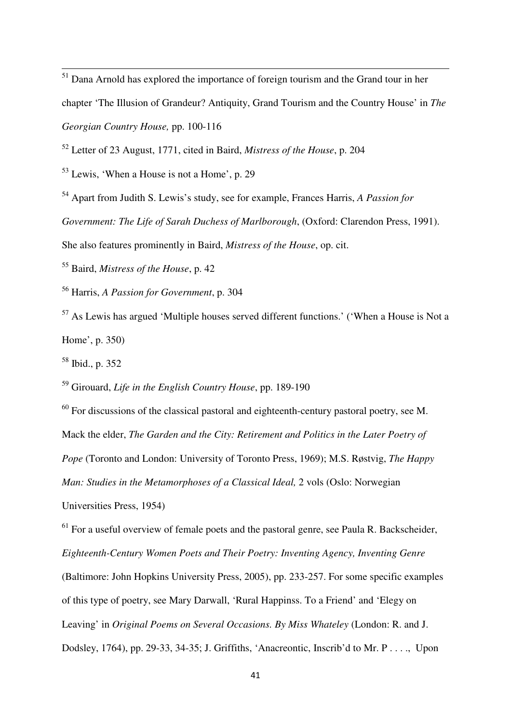$<sup>51</sup>$  Dana Arnold has explored the importance of foreign tourism and the Grand tour in her</sup> chapter 'The Illusion of Grandeur? Antiquity, Grand Tourism and the Country House' in *The Georgian Country House,* pp. 100-116

<sup>52</sup> Letter of 23 August, 1771, cited in Baird, *Mistress of the House*, p. 204

<sup>53</sup> Lewis, 'When a House is not a Home', p. 29

<sup>54</sup> Apart from Judith S. Lewis's study, see for example, Frances Harris, *A Passion for* 

*Government: The Life of Sarah Duchess of Marlborough*, (Oxford: Clarendon Press, 1991).

She also features prominently in Baird, *Mistress of the House*, op. cit.

<sup>55</sup> Baird, *Mistress of the House*, p. 42

<sup>56</sup> Harris, *A Passion for Government*, p. 304

 $57$  As Lewis has argued 'Multiple houses served different functions.' ('When a House is Not a Home', p. 350)

<sup>58</sup> Ibid., p. 352

l

<sup>59</sup> Girouard, *Life in the English Country House*, pp. 189-190

<sup>60</sup> For discussions of the classical pastoral and eighteenth-century pastoral poetry, see M. Mack the elder, *The Garden and the City: Retirement and Politics in the Later Poetry of Pope* (Toronto and London: University of Toronto Press, 1969); M.S. Røstvig, *The Happy Man: Studies in the Metamorphoses of a Classical Ideal,* 2 vols (Oslo: Norwegian Universities Press, 1954)

 $61$  For a useful overview of female poets and the pastoral genre, see Paula R. Backscheider, *Eighteenth-Century Women Poets and Their Poetry: Inventing Agency, Inventing Genre* (Baltimore: John Hopkins University Press, 2005), pp. 233-257. For some specific examples of this type of poetry, see Mary Darwall, 'Rural Happinss. To a Friend' and 'Elegy on Leaving' in *Original Poems on Several Occasions. By Miss Whateley* (London: R. and J. Dodsley, 1764), pp. 29-33, 34-35; J. Griffiths, 'Anacreontic, Inscrib'd to Mr. P . . . ., Upon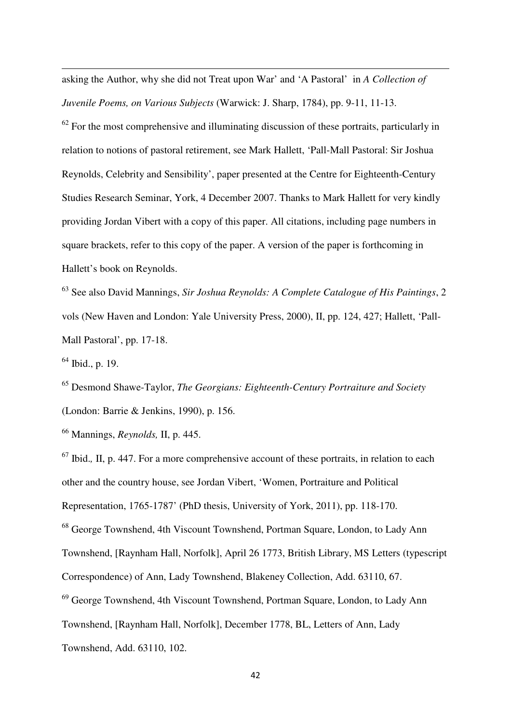asking the Author, why she did not Treat upon War' and 'A Pastoral' in *A Collection of Juvenile Poems, on Various Subjects* (Warwick: J. Sharp, 1784), pp. 9-11, 11-13.

 $62$  For the most comprehensive and illuminating discussion of these portraits, particularly in relation to notions of pastoral retirement, see Mark Hallett, 'Pall-Mall Pastoral: Sir Joshua Reynolds, Celebrity and Sensibility', paper presented at the Centre for Eighteenth-Century Studies Research Seminar, York, 4 December 2007. Thanks to Mark Hallett for very kindly providing Jordan Vibert with a copy of this paper. All citations, including page numbers in square brackets, refer to this copy of the paper. A version of the paper is forthcoming in Hallett's book on Reynolds.

<sup>63</sup> See also David Mannings, *Sir Joshua Reynolds: A Complete Catalogue of His Paintings*, 2 vols (New Haven and London: Yale University Press, 2000), II, pp. 124, 427; Hallett, 'Pall-Mall Pastoral', pp. 17-18.

 $64$  Ibid., p. 19.

l

<sup>65</sup> Desmond Shawe-Taylor, *The Georgians: Eighteenth-Century Portraiture and Society* (London: Barrie & Jenkins, 1990), p. 156.

<sup>66</sup> Mannings, *Reynolds,* II, p. 445.

<sup>67</sup> Ibid.*,* II, p. 447. For a more comprehensive account of these portraits, in relation to each other and the country house, see Jordan Vibert, 'Women, Portraiture and Political Representation, 1765-1787' (PhD thesis, University of York, 2011), pp. 118-170. <sup>68</sup> George Townshend, 4th Viscount Townshend, Portman Square, London, to Lady Ann Townshend, [Raynham Hall, Norfolk], April 26 1773, British Library, MS Letters (typescript Correspondence) of Ann, Lady Townshend, Blakeney Collection, Add. 63110, 67. <sup>69</sup> George Townshend, 4th Viscount Townshend, Portman Square, London, to Lady Ann Townshend, [Raynham Hall, Norfolk], December 1778, BL, Letters of Ann, Lady Townshend, Add. 63110, 102.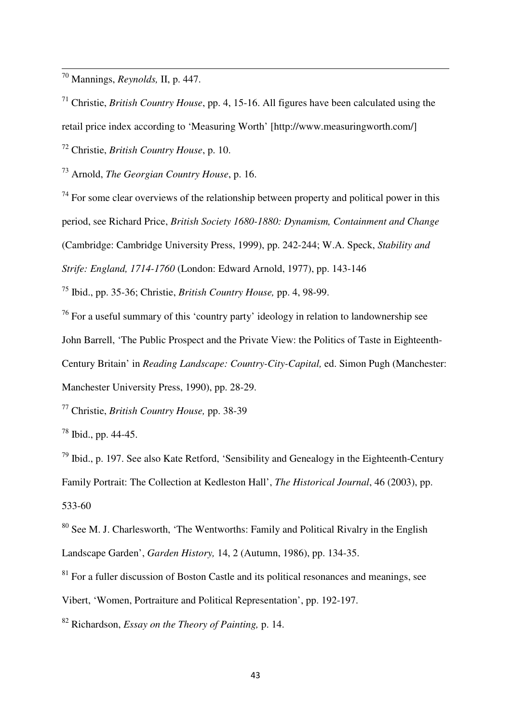<sup>70</sup> Mannings, *Reynolds,* II, p. 447.

l

<sup>71</sup> Christie, *British Country House*, pp. 4, 15-16. All figures have been calculated using the retail price index according to 'Measuring Worth' [http://www.measuringworth.com/]

<sup>72</sup> Christie, *British Country House*, p. 10.

<sup>73</sup> Arnold, *The Georgian Country House*, p. 16.

 $74$  For some clear overviews of the relationship between property and political power in this period, see Richard Price, *British Society 1680-1880: Dynamism, Containment and Change* (Cambridge: Cambridge University Press, 1999), pp. 242-244; W.A. Speck, *Stability and Strife: England, 1714-1760* (London: Edward Arnold, 1977), pp. 143-146

<sup>75</sup> Ibid., pp. 35-36; Christie, *British Country House,* pp. 4, 98-99.

 $76$  For a useful summary of this 'country party' ideology in relation to landownership see John Barrell, 'The Public Prospect and the Private View: the Politics of Taste in Eighteenth-Century Britain' in *Reading Landscape: Country-City-Capital,* ed. Simon Pugh (Manchester: Manchester University Press, 1990), pp. 28-29.

<sup>77</sup> Christie, *British Country House,* pp. 38-39

<sup>78</sup> Ibid., pp. 44-45.

 $79$  Ibid., p. 197. See also Kate Retford, 'Sensibility and Genealogy in the Eighteenth-Century Family Portrait: The Collection at Kedleston Hall', *The Historical Journal*, 46 (2003), pp. 533-60

 $80$  See M. J. Charlesworth, 'The Wentworths: Family and Political Rivalry in the English Landscape Garden', *Garden History,* 14, 2 (Autumn, 1986), pp. 134-35.

<sup>81</sup> For a fuller discussion of Boston Castle and its political resonances and meanings, see

Vibert, 'Women, Portraiture and Political Representation', pp. 192-197.

<sup>82</sup> Richardson, *Essay on the Theory of Painting,* p. 14.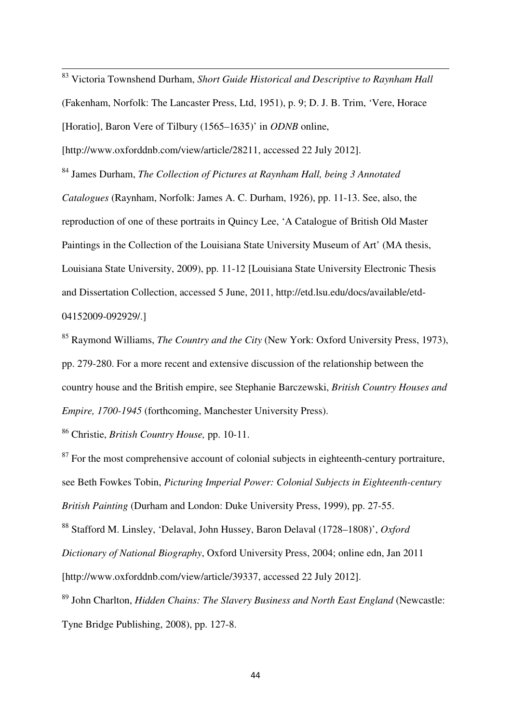<sup>83</sup> Victoria Townshend Durham, *Short Guide Historical and Descriptive to Raynham Hall* (Fakenham, Norfolk: The Lancaster Press, Ltd, 1951), p. 9; D. J. B. Trim, 'Vere, Horace [Horatio], Baron Vere of Tilbury (1565–1635)' in *ODNB* online,

[http://www.oxforddnb.com/view/article/28211, accessed 22 July 2012].

l

<sup>84</sup> James Durham, *The Collection of Pictures at Raynham Hall, being 3 Annotated Catalogues* (Raynham, Norfolk: James A. C. Durham, 1926), pp. 11-13. See, also, the reproduction of one of these portraits in Quincy Lee, 'A Catalogue of British Old Master Paintings in the Collection of the Louisiana State University Museum of Art' (MA thesis, Louisiana State University, 2009), pp. 11-12 [Louisiana State University Electronic Thesis and Dissertation Collection, accessed 5 June, 2011, http://etd.lsu.edu/docs/available/etd-04152009-092929/.]

<sup>85</sup> Raymond Williams, *The Country and the City* (New York: Oxford University Press, 1973), pp. 279-280. For a more recent and extensive discussion of the relationship between the country house and the British empire, see Stephanie Barczewski, *British Country Houses and Empire, 1700-1945* (forthcoming, Manchester University Press).

<sup>86</sup> Christie, *British Country House,* pp. 10-11.

 $87$  For the most comprehensive account of colonial subjects in eighteenth-century portraiture, see Beth Fowkes Tobin, *Picturing Imperial Power: Colonial Subjects in Eighteenth-century British Painting* (Durham and London: Duke University Press, 1999), pp. 27-55.

<sup>88</sup> Stafford M. Linsley, 'Delaval, John Hussey, Baron Delaval (1728–1808)', *Oxford Dictionary of National Biography*, Oxford University Press, 2004; online edn, Jan 2011 [http://www.oxforddnb.com/view/article/39337, accessed 22 July 2012].

<sup>89</sup> John Charlton, *Hidden Chains: The Slavery Business and North East England* (Newcastle: Tyne Bridge Publishing, 2008), pp. 127-8.